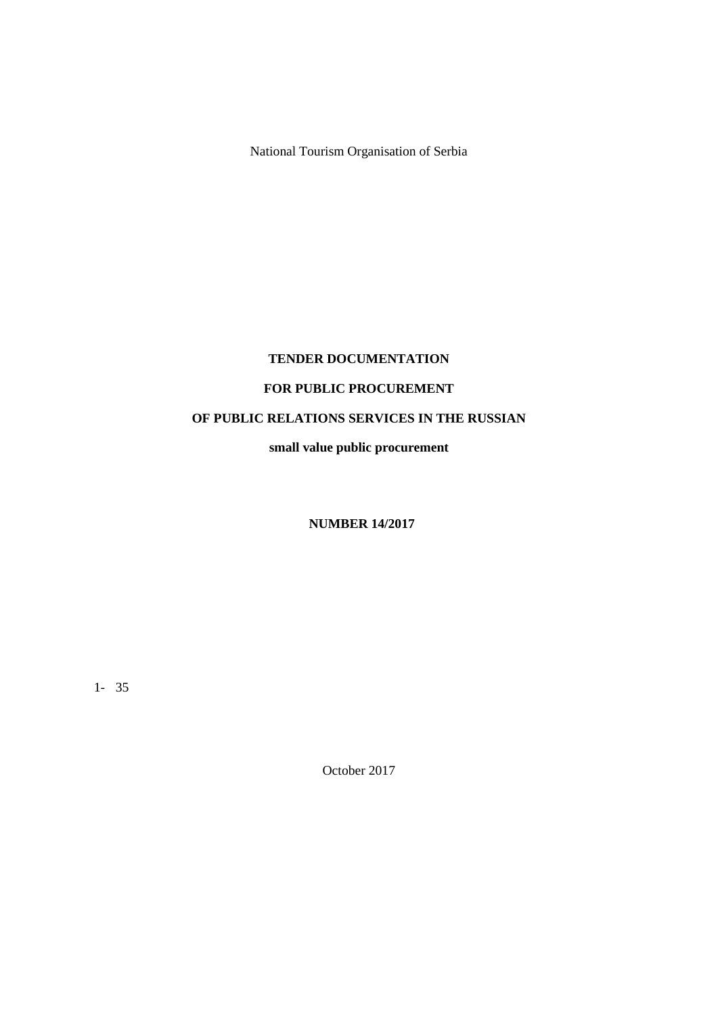National Tourism Organisation of Serbia

# **TENDER DOCUMENTATION**

# **FOR PUBLIC PROCUREMENT**

# **OF PUBLIC RELATIONS SERVICES IN THE RUSSIAN**

**small value public procurement**

**NUMBER 14/2017**

1- 35

October 2017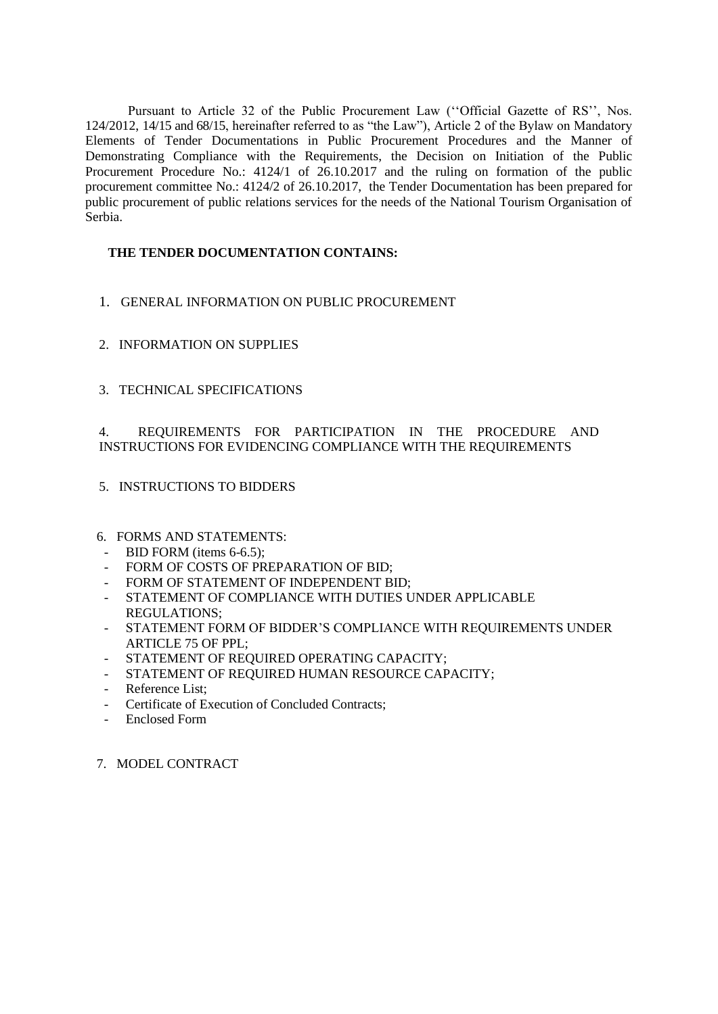Pursuant to Article 32 of the Public Procurement Law (''Official Gazette of RS'', Nos. 124/2012, 14/15 and 68/15, hereinafter referred to as "the Law"), Article 2 of the Bylaw on Mandatory Elements of Tender Documentations in Public Procurement Procedures and the Manner of Demonstrating Compliance with the Requirements, the Decision on Initiation of the Public Procurement Procedure No.: 4124/1 of 26.10.2017 and the ruling on formation of the public procurement committee No.: 4124/2 of 26.10.2017, the Tender Documentation has been prepared for public procurement of public relations services for the needs of the National Tourism Organisation of Serbia.

# **THE TENDER DOCUMENTATION CONTAINS:**

- 1. GENERAL INFORMATION ON PUBLIC PROCUREMENT
- 2. INFORMATION ON SUPPLIES
- 3. TECHNICAL SPECIFICATIONS

# 4. REQUIREMENTS FOR PARTICIPATION IN THE PROCEDURE AND INSTRUCTIONS FOR EVIDENCING COMPLIANCE WITH THE REQUIREMENTS

- 5. INSTRUCTIONS TO BIDDERS
- 6. FORMS AND STATEMENTS:
	- BID FORM (items 6-6.5):
- FORM OF COSTS OF PREPARATION OF BID;
- FORM OF STATEMENT OF INDEPENDENT BID;
- STATEMENT OF COMPLIANCE WITH DUTIES UNDER APPLICABLE REGULATIONS;
- STATEMENT FORM OF BIDDER'S COMPLIANCE WITH REQUIREMENTS UNDER ARTICLE 75 OF PPL;
- STATEMENT OF REQUIRED OPERATING CAPACITY:
- STATEMENT OF REQUIRED HUMAN RESOURCE CAPACITY;
- Reference List;
- Certificate of Execution of Concluded Contracts;
- Enclosed Form
- 7. MODEL CONTRACT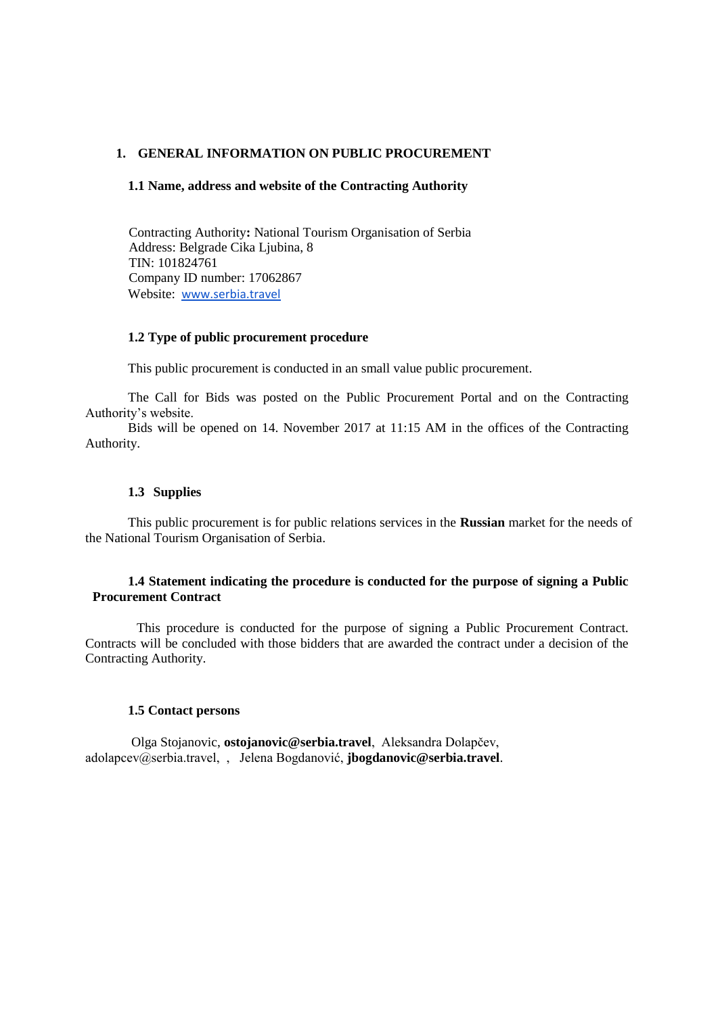# **1. GENERAL INFORMATION ON PUBLIC PROCUREMENT**

#### **1.1 Name, address and website of the Contracting Authority**

Contracting Authority**:** National Tourism Organisation of Serbia Address: Belgrade Cika Ljubina, 8 TIN: 101824761 Company ID number: 17062867 Website: [www.serbia.travel](http://www.serbia.travel/about-us/about-us/public-tendering.562.html)

#### **1.2 Type of public procurement procedure**

This public procurement is conducted in an small value public procurement.

The Call for Bids was posted on the Public Procurement Portal and on the Contracting Authority's website.

Bids will be opened on 14. November 2017 at 11:15 AM in the offices of the Contracting Authority.

### **1.3 Supplies**

This public procurement is for public relations services in the **Russian** market for the needs of the National Tourism Organisation of Serbia.

### **1.4 Statement indicating the procedure is conducted for the purpose of signing a Public Procurement Contract**

This procedure is conducted for the purpose of signing a Public Procurement Contract. Contracts will be concluded with those bidders that are awarded the contract under a decision of the Contracting Authority.

#### **1.5 Contact persons**

Olga Stojanovic, **ostojanovic@serbia.travel**, Aleksandra Dolapčev, adolapcev@serbia.travel, , Jelena Bogdanović, **jbogdanovic@serbia.travel**.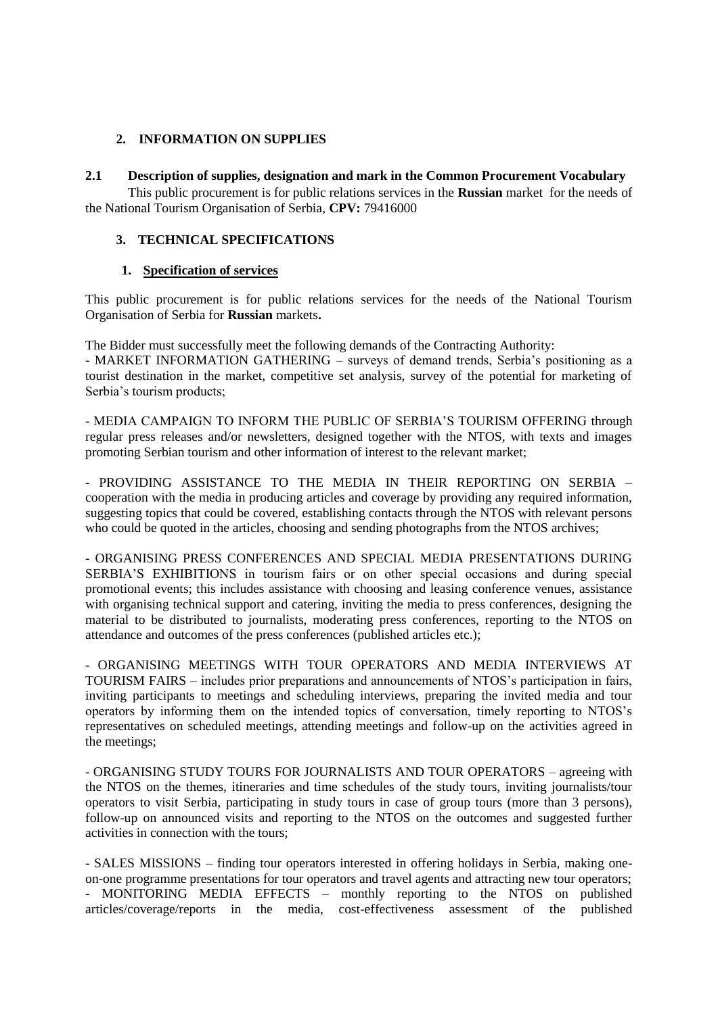# **2. INFORMATION ON SUPPLIES**

### **2.1 Description of supplies, designation and mark in the Common Procurement Vocabulary**

This public procurement is for public relations services in the **Russian** market for the needs of the National Tourism Organisation of Serbia, **CPV:** 79416000

### **3. TECHNICAL SPECIFICATIONS**

### **1. Specification of services**

This public procurement is for public relations services for the needs of the National Tourism Organisation of Serbia for **Russian** markets**.**

The Bidder must successfully meet the following demands of the Contracting Authority: - MARKET INFORMATION GATHERING – surveys of demand trends, Serbia's positioning as a tourist destination in the market, competitive set analysis, survey of the potential for marketing of Serbia's tourism products;

- MEDIA CAMPAIGN TO INFORM THE PUBLIC OF SERBIA'S TOURISM OFFERING through regular press releases and/or newsletters, designed together with the NTOS, with texts and images promoting Serbian tourism and other information of interest to the relevant market;

- PROVIDING ASSISTANCE TO THE MEDIA IN THEIR REPORTING ON SERBIA – cooperation with the media in producing articles and coverage by providing any required information, suggesting topics that could be covered, establishing contacts through the NTOS with relevant persons who could be quoted in the articles, choosing and sending photographs from the NTOS archives;

- ORGANISING PRESS CONFERENCES AND SPECIAL MEDIA PRESENTATIONS DURING SERBIA'S EXHIBITIONS in tourism fairs or on other special occasions and during special promotional events; this includes assistance with choosing and leasing conference venues, assistance with organising technical support and catering, inviting the media to press conferences, designing the material to be distributed to journalists, moderating press conferences, reporting to the NTOS on attendance and outcomes of the press conferences (published articles etc.);

- ORGANISING MEETINGS WITH TOUR OPERATORS AND MEDIA INTERVIEWS AT TOURISM FAIRS – includes prior preparations and announcements of NTOS's participation in fairs, inviting participants to meetings and scheduling interviews, preparing the invited media and tour operators by informing them on the intended topics of conversation, timely reporting to NTOS's representatives on scheduled meetings, attending meetings and follow-up on the activities agreed in the meetings;

- ORGANISING STUDY TOURS FOR JOURNALISTS AND TOUR OPERATORS – agreeing with the NTOS on the themes, itineraries and time schedules of the study tours, inviting journalists/tour operators to visit Serbia, participating in study tours in case of group tours (more than 3 persons), follow-up on announced visits and reporting to the NTOS on the outcomes and suggested further activities in connection with the tours;

- SALES MISSIONS – finding tour operators interested in offering holidays in Serbia, making oneon-one programme presentations for tour operators and travel agents and attracting new tour operators; - MONITORING MEDIA EFFECTS – monthly reporting to the NTOS on published articles/coverage/reports in the media, cost-effectiveness assessment of the published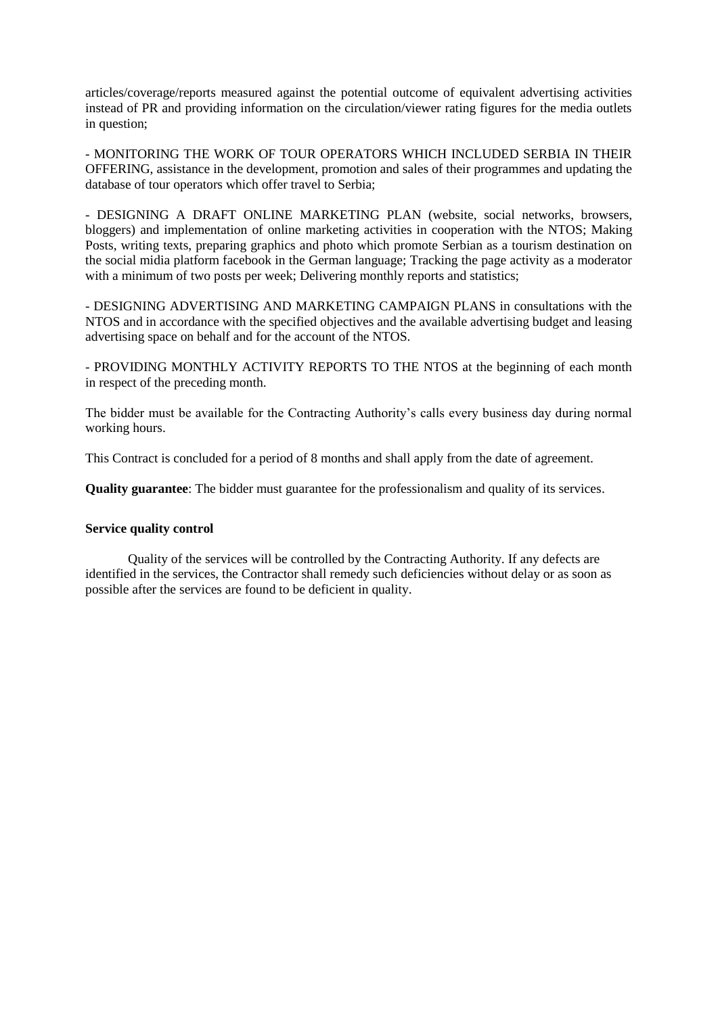articles/coverage/reports measured against the potential outcome of equivalent advertising activities instead of PR and providing information on the circulation/viewer rating figures for the media outlets in question;

- MONITORING THE WORK OF TOUR OPERATORS WHICH INCLUDED SERBIA IN THEIR OFFERING, assistance in the development, promotion and sales of their programmes and updating the database of tour operators which offer travel to Serbia;

- DESIGNING A DRAFT ONLINE MARKETING PLAN (website, social networks, browsers, bloggers) and implementation of online marketing activities in cooperation with the NTOS; Making Posts, writing texts, preparing graphics and photo which promote Serbian as a tourism destination on the social midia platform facebook in the German language; Tracking the page activity as a moderator with a minimum of two posts per week; Delivering monthly reports and statistics;

- DESIGNING ADVERTISING AND MARKETING CAMPAIGN PLANS in consultations with the NTOS and in accordance with the specified objectives and the available advertising budget and leasing advertising space on behalf and for the account of the NTOS.

- PROVIDING MONTHLY ACTIVITY REPORTS TO THE NTOS at the beginning of each month in respect of the preceding month.

The bidder must be available for the Contracting Authority's calls every business day during normal working hours.

This Contract is concluded for a period of 8 months and shall apply from the date of agreement.

**Quality guarantee**: The bidder must guarantee for the professionalism and quality of its services.

#### **Service quality control**

Quality of the services will be controlled by the Contracting Authority. If any defects are identified in the services, the Contractor shall remedy such deficiencies without delay or as soon as possible after the services are found to be deficient in quality.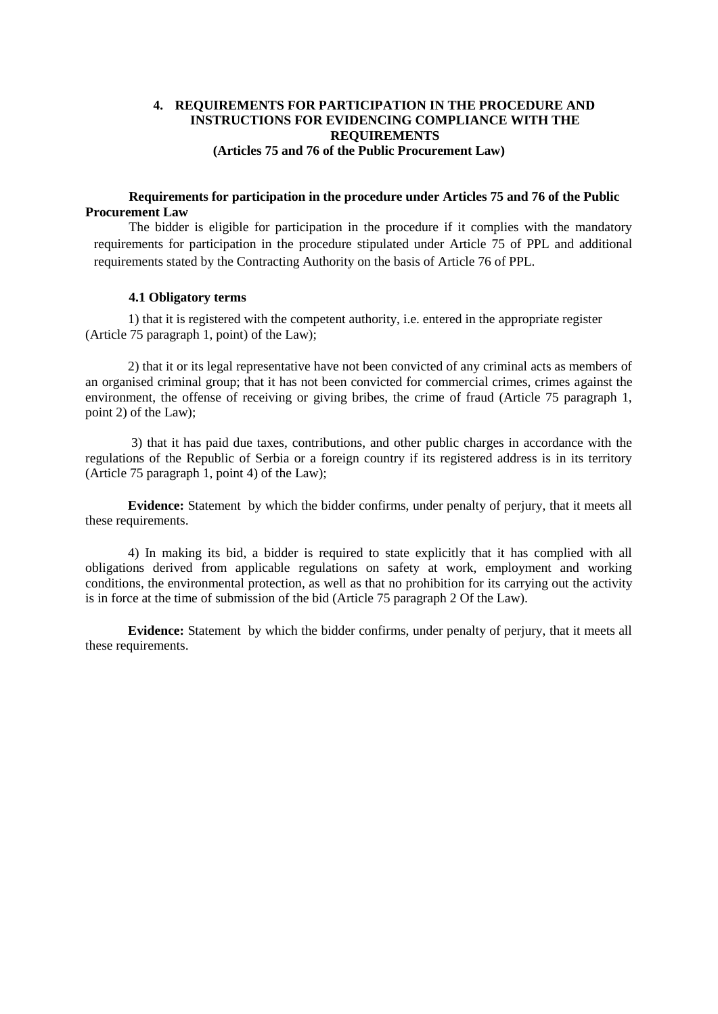# **4. REQUIREMENTS FOR PARTICIPATION IN THE PROCEDURE AND INSTRUCTIONS FOR EVIDENCING COMPLIANCE WITH THE REQUIREMENTS (Articles 75 and 76 of the Public Procurement Law)**

### **Requirements for participation in the procedure under Articles 75 and 76 of the Public Procurement Law**

The bidder is eligible for participation in the procedure if it complies with the mandatory requirements for participation in the procedure stipulated under Article 75 of PPL and additional requirements stated by the Contracting Authority on the basis of Article 76 of PPL.

#### **4.1 Obligatory terms**

1) that it is registered with the competent authority, i.e. entered in the appropriate register (Article 75 paragraph 1, point) of the Law);

2) that it or its legal representative have not been convicted of any criminal acts as members of an organised criminal group; that it has not been convicted for commercial crimes, crimes against the environment, the offense of receiving or giving bribes, the crime of fraud (Article 75 paragraph 1, point 2) of the Law);

3) that it has paid due taxes, contributions, and other public charges in accordance with the regulations of the Republic of Serbia or a foreign country if its registered address is in its territory (Article 75 paragraph 1, point 4) of the Law);

**Evidence:** Statement by which the bidder confirms, under penalty of perjury, that it meets all these requirements.

4) In making its bid, a bidder is required to state explicitly that it has complied with all obligations derived from applicable regulations on safety at work, employment and working conditions, the environmental protection, as well as that no prohibition for its carrying out the activity is in force at the time of submission of the bid (Article 75 paragraph 2 Of the Law).

**Evidence:** Statement by which the bidder confirms, under penalty of perjury, that it meets all these requirements.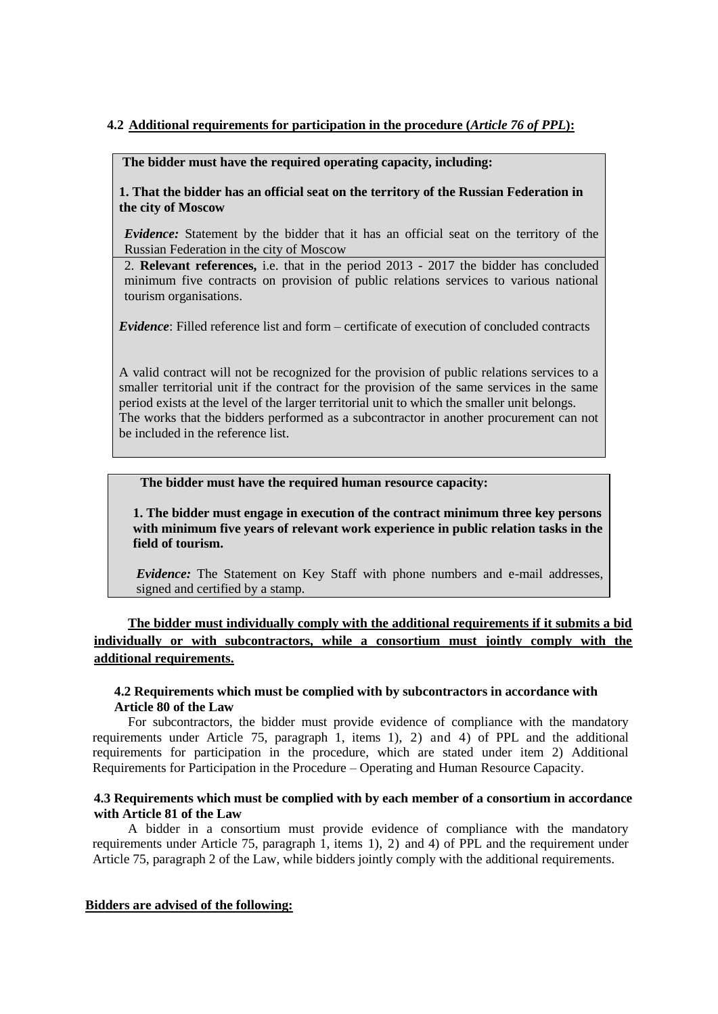# **4.2 Additional requirements for participation in the procedure (***Article 76 of PPL***):**

#### **The bidder must have the required operating capacity, including:**

**1. That the bidder has an official seat on the territory of the Russian Federation in the city of Moscow**

*Evidence:* Statement by the bidder that it has an official seat on the territory of the Russian Federation in the city of Moscow

2. **Relevant references,** i.e. that in the period 2013 - 2017 the bidder has concluded minimum five contracts on provision of public relations services to various national tourism organisations.

*Evidence*: Filled reference list and form – certificate of execution of concluded contracts

A valid contract will not be recognized for the provision of public relations services to a smaller territorial unit if the contract for the provision of the same services in the same period exists at the level of the larger territorial unit to which the smaller unit belongs. The works that the bidders performed as a subcontractor in another procurement can not be included in the reference list.

### **The bidder must have the required human resource capacity:**

**1. The bidder must engage in execution of the contract minimum three key persons with minimum five years of relevant work experience in public relation tasks in the field of tourism.** 

*Evidence:* The Statement on Key Staff with phone numbers and e-mail addresses, signed and certified by a stamp.

**The bidder must individually comply with the additional requirements if it submits a bid individually or with subcontractors, while a consortium must jointly comply with the additional requirements.**

### **4.2 Requirements which must be complied with by subcontractors in accordance with Article 80 of the Law**

For subcontractors, the bidder must provide evidence of compliance with the mandatory requirements under Article 75, paragraph 1, items 1), 2) and 4) of PPL and the additional requirements for participation in the procedure, which are stated under item 2) Additional Requirements for Participation in the Procedure – Operating and Human Resource Capacity.

# **4.3 Requirements which must be complied with by each member of a consortium in accordance with Article 81 of the Law**

A bidder in a consortium must provide evidence of compliance with the mandatory requirements under Article 75, paragraph 1, items 1), 2) and 4) of PPL and the requirement under Article 75, paragraph 2 of the Law, while bidders jointly comply with the additional requirements.

### **Bidders are advised of the following:**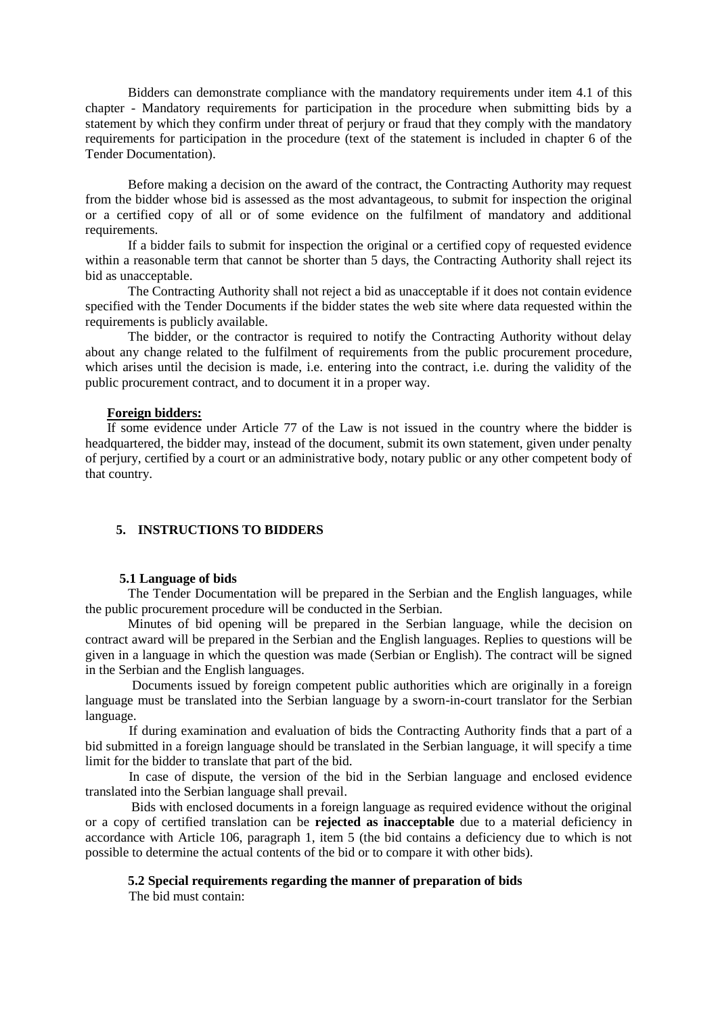Bidders can demonstrate compliance with the mandatory requirements under item 4.1 of this chapter - Mandatory requirements for participation in the procedure when submitting bids by a statement by which they confirm under threat of perjury or fraud that they comply with the mandatory requirements for participation in the procedure (text of the statement is included in chapter 6 of the Tender Documentation).

Before making a decision on the award of the contract, the Contracting Authority may request from the bidder whose bid is assessed as the most advantageous, to submit for inspection the original or a certified copy of all or of some evidence on the fulfilment of mandatory and additional requirements.

If a bidder fails to submit for inspection the original or a certified copy of requested evidence within a reasonable term that cannot be shorter than 5 days, the Contracting Authority shall reject its bid as unacceptable.

The Contracting Authority shall not reject a bid as unacceptable if it does not contain evidence specified with the Tender Documents if the bidder states the web site where data requested within the requirements is publicly available.

The bidder, or the contractor is required to notify the Contracting Authority without delay about any change related to the fulfilment of requirements from the public procurement procedure, which arises until the decision is made, i.e. entering into the contract, i.e. during the validity of the public procurement contract, and to document it in a proper way.

#### **Foreign bidders:**

If some evidence under Article 77 of the Law is not issued in the country where the bidder is headquartered, the bidder may, instead of the document, submit its own statement, given under penalty of perjury, certified by a court or an administrative body, notary public or any other competent body of that country.

#### **5. INSTRUCTIONS TO BIDDERS**

#### **5.1 Language of bids**

The Tender Documentation will be prepared in the Serbian and the English languages, while the public procurement procedure will be conducted in the Serbian.

Minutes of bid opening will be prepared in the Serbian language, while the decision on contract award will be prepared in the Serbian and the English languages. Replies to questions will be given in a language in which the question was made (Serbian or English). The contract will be signed in the Serbian and the English languages.

Documents issued by foreign competent public authorities which are originally in a foreign language must be translated into the Serbian language by a sworn-in-court translator for the Serbian language.

If during examination and evaluation of bids the Contracting Authority finds that a part of a bid submitted in a foreign language should be translated in the Serbian language, it will specify a time limit for the bidder to translate that part of the bid.

In case of dispute, the version of the bid in the Serbian language and enclosed evidence translated into the Serbian language shall prevail.

Bids with enclosed documents in a foreign language as required evidence without the original or a copy of certified translation can be **rejected as inacceptable** due to a material deficiency in accordance with Article 106, paragraph 1, item 5 (the bid contains a deficiency due to which is not possible to determine the actual contents of the bid or to compare it with other bids).

#### **5.2 Special requirements regarding the manner of preparation of bids**

The bid must contain: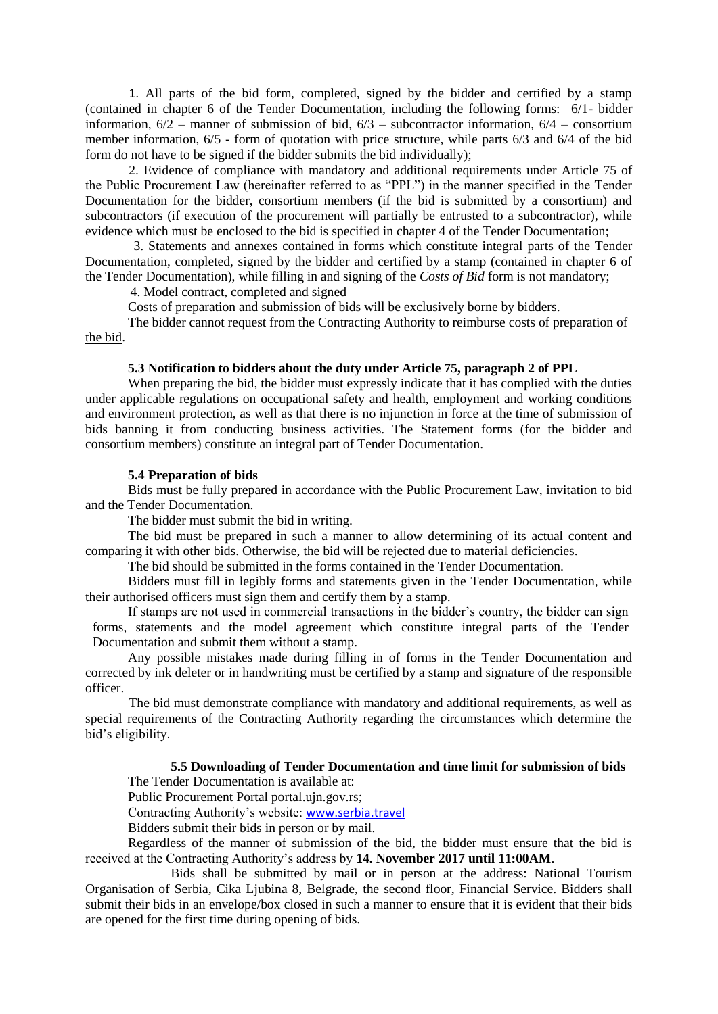1. All parts of the bid form, completed, signed by the bidder and certified by a stamp (contained in chapter 6 of the Tender Documentation, including the following forms: 6/1- bidder information,  $6/2$  – manner of submission of bid,  $6/3$  – subcontractor information,  $6/4$  – consortium member information, 6/5 - form of quotation with price structure, while parts 6/3 and 6/4 of the bid form do not have to be signed if the bidder submits the bid individually):

2. Evidence of compliance with mandatory and additional requirements under Article 75 of the Public Procurement Law (hereinafter referred to as "PPL") in the manner specified in the Tender Documentation for the bidder, consortium members (if the bid is submitted by a consortium) and subcontractors (if execution of the procurement will partially be entrusted to a subcontractor), while evidence which must be enclosed to the bid is specified in chapter 4 of the Tender Documentation;

 3. Statements and annexes contained in forms which constitute integral parts of the Tender Documentation, completed, signed by the bidder and certified by a stamp (contained in chapter 6 of the Tender Documentation), while filling in and signing of the *Costs of Bid* form is not mandatory;

4. Model contract, completed and signed

Costs of preparation and submission of bids will be exclusively borne by bidders.

The bidder cannot request from the Contracting Authority to reimburse costs of preparation of the bid.

### **5.3 Notification to bidders about the duty under Article 75, paragraph 2 of PPL**

When preparing the bid, the bidder must expressly indicate that it has complied with the duties under applicable regulations on occupational safety and health, employment and working conditions and environment protection, as well as that there is no injunction in force at the time of submission of bids banning it from conducting business activities. The Statement forms (for the bidder and consortium members) constitute an integral part of Tender Documentation.

#### **5.4 Preparation of bids**

Bids must be fully prepared in accordance with the Public Procurement Law, invitation to bid and the Tender Documentation.

The bidder must submit the bid in writing.

The bid must be prepared in such a manner to allow determining of its actual content and comparing it with other bids. Otherwise, the bid will be rejected due to material deficiencies.

The bid should be submitted in the forms contained in the Tender Documentation.

Bidders must fill in legibly forms and statements given in the Tender Documentation, while their authorised officers must sign them and certify them by a stamp.

If stamps are not used in commercial transactions in the bidder's country, the bidder can sign forms, statements and the model agreement which constitute integral parts of the Tender Documentation and submit them without a stamp.

Any possible mistakes made during filling in of forms in the Tender Documentation and corrected by ink deleter or in handwriting must be certified by a stamp and signature of the responsible officer.

The bid must demonstrate compliance with mandatory and additional requirements, as well as special requirements of the Contracting Authority regarding the circumstances which determine the bid's eligibility.

#### **5.5 Downloading of Tender Documentation and time limit for submission of bids**

The Tender Documentation is available at:

Public Procurement Portal portal.ujn.gov.rs;

Contracting Authority's website: [www.serbia.travel](http://www.serbia.travel/)

Bidders submit their bids in person or by mail.

Regardless of the manner of submission of the bid, the bidder must ensure that the bid is received at the Contracting Authority's address by **14. November 2017 until 11:00AM**.

Bids shall be submitted by mail or in person at the address: National Tourism Organisation of Serbia, Cika Ljubina 8, Belgrade, the second floor, Financial Service. Bidders shall submit their bids in an envelope/box closed in such a manner to ensure that it is evident that their bids are opened for the first time during opening of bids.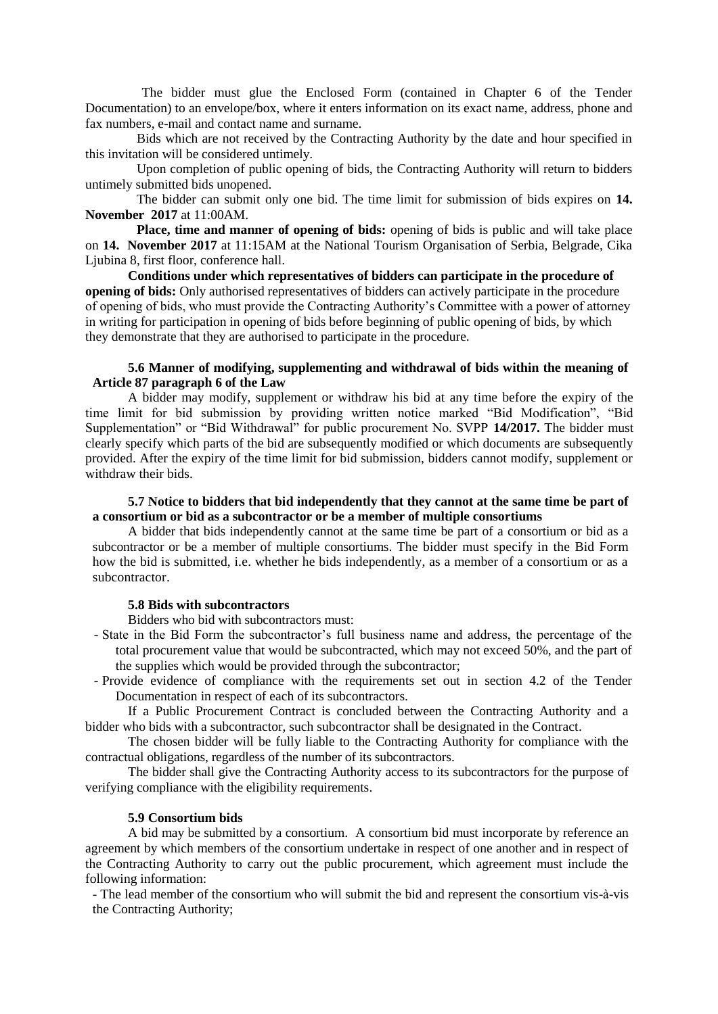The bidder must glue the Enclosed Form (contained in Chapter 6 of the Tender Documentation) to an envelope/box, where it enters information on its exact name, address, phone and fax numbers, e-mail and contact name and surname.

Bids which are not received by the Contracting Authority by the date and hour specified in this invitation will be considered untimely.

Upon completion of public opening of bids, the Contracting Authority will return to bidders untimely submitted bids unopened.

The bidder can submit only one bid. The time limit for submission of bids expires on **14. November 2017** at 11:00AM.

Place, time and manner of opening of bids: opening of bids is public and will take place on **14. November 2017** at 11:15AM at the National Tourism Organisation of Serbia, Belgrade, Cika Ljubina 8, first floor, conference hall.

**Conditions under which representatives of bidders can participate in the procedure of opening of bids:** Only authorised representatives of bidders can actively participate in the procedure of opening of bids, who must provide the Contracting Authority's Committee with a power of attorney in writing for participation in opening of bids before beginning of public opening of bids, by which they demonstrate that they are authorised to participate in the procedure.

### **5.6 Manner of modifying, supplementing and withdrawal of bids within the meaning of Article 87 paragraph 6 of the Law**

A bidder may modify, supplement or withdraw his bid at any time before the expiry of the time limit for bid submission by providing written notice marked "Bid Modification", "Bid Supplementation" or "Bid Withdrawal" for public procurement No. SVPP **14/2017.** The bidder must clearly specify which parts of the bid are subsequently modified or which documents are subsequently provided. After the expiry of the time limit for bid submission, bidders cannot modify, supplement or withdraw their bids.

# **5.7 Notice to bidders that bid independently that they cannot at the same time be part of a consortium or bid as a subcontractor or be a member of multiple consortiums**

A bidder that bids independently cannot at the same time be part of a consortium or bid as a subcontractor or be a member of multiple consortiums. The bidder must specify in the Bid Form how the bid is submitted, i.e. whether he bids independently, as a member of a consortium or as a subcontractor.

#### **5.8 Bids with subcontractors**

Bidders who bid with subcontractors must:

- State in the Bid Form the subcontractor's full business name and address, the percentage of the total procurement value that would be subcontracted, which may not exceed 50%, and the part of the supplies which would be provided through the subcontractor;
- Provide evidence of compliance with the requirements set out in section 4.2 of the Tender Documentation in respect of each of its subcontractors.

If a Public Procurement Contract is concluded between the Contracting Authority and a bidder who bids with a subcontractor, such subcontractor shall be designated in the Contract.

The chosen bidder will be fully liable to the Contracting Authority for compliance with the contractual obligations, regardless of the number of its subcontractors.

The bidder shall give the Contracting Authority access to its subcontractors for the purpose of verifying compliance with the eligibility requirements.

#### **5.9 Consortium bids**

A bid may be submitted by a consortium. A consortium bid must incorporate by reference an agreement by which members of the consortium undertake in respect of one another and in respect of the Contracting Authority to carry out the public procurement, which agreement must include the following information:

- The lead member of the consortium who will submit the bid and represent the consortium vis-à-vis the Contracting Authority;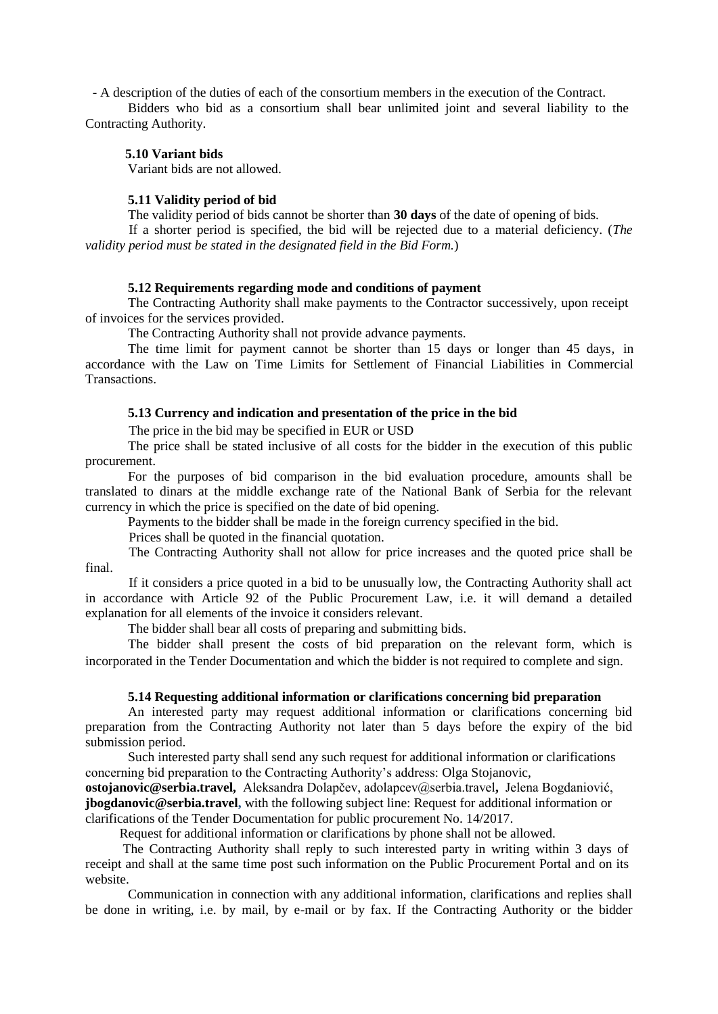- A description of the duties of each of the consortium members in the execution of the Contract.

Bidders who bid as a consortium shall bear unlimited joint and several liability to the Contracting Authority.

### **5.10 Variant bids**

Variant bids are not allowed.

#### **5.11 Validity period of bid**

The validity period of bids cannot be shorter than **30 days** of the date of opening of bids.

If a shorter period is specified, the bid will be rejected due to a material deficiency. (*The validity period must be stated in the designated field in the Bid Form.*)

### **5.12 Requirements regarding mode and conditions of payment**

The Contracting Authority shall make payments to the Contractor successively, upon receipt of invoices for the services provided.

The Contracting Authority shall not provide advance payments.

The time limit for payment cannot be shorter than 15 days or longer than 45 days, in accordance with the Law on Time Limits for Settlement of Financial Liabilities in Commercial **Transactions** 

#### **5.13 Currency and indication and presentation of the price in the bid**

The price in the bid may be specified in EUR or USD

The price shall be stated inclusive of all costs for the bidder in the execution of this public procurement.

For the purposes of bid comparison in the bid evaluation procedure, amounts shall be translated to dinars at the middle exchange rate of the National Bank of Serbia for the relevant currency in which the price is specified on the date of bid opening.

Payments to the bidder shall be made in the foreign currency specified in the bid.

Prices shall be quoted in the financial quotation.

The Contracting Authority shall not allow for price increases and the quoted price shall be final.

If it considers a price quoted in a bid to be unusually low, the Contracting Authority shall act in accordance with Article 92 of the Public Procurement Law, i.e. it will demand a detailed explanation for all elements of the invoice it considers relevant.

The bidder shall bear all costs of preparing and submitting bids.

The bidder shall present the costs of bid preparation on the relevant form, which is incorporated in the Tender Documentation and which the bidder is not required to complete and sign.

#### **5.14 Requesting additional information or clarifications concerning bid preparation**

An interested party may request additional information or clarifications concerning bid preparation from the Contracting Authority not later than 5 days before the expiry of the bid submission period.

Such interested party shall send any such request for additional information or clarifications concerning bid preparation to the Contracting Authority's address: Olga Stojanovic,

**ostojanovic@serbia.travel,** Aleksandra Dolapčev, adolapcev@serbia.travel**,** Jelena Bogdaniović, **jbogdanovic@serbia.travel,** with the following subject line: Request for additional information or clarifications of the Tender Documentation for public procurement No. 14/2017.

Request for additional information or clarifications by phone shall not be allowed.

The Contracting Authority shall reply to such interested party in writing within 3 days of receipt and shall at the same time post such information on the Public Procurement Portal and on its website.

Communication in connection with any additional information, clarifications and replies shall be done in writing, i.e. by mail, by e-mail or by fax. If the Contracting Authority or the bidder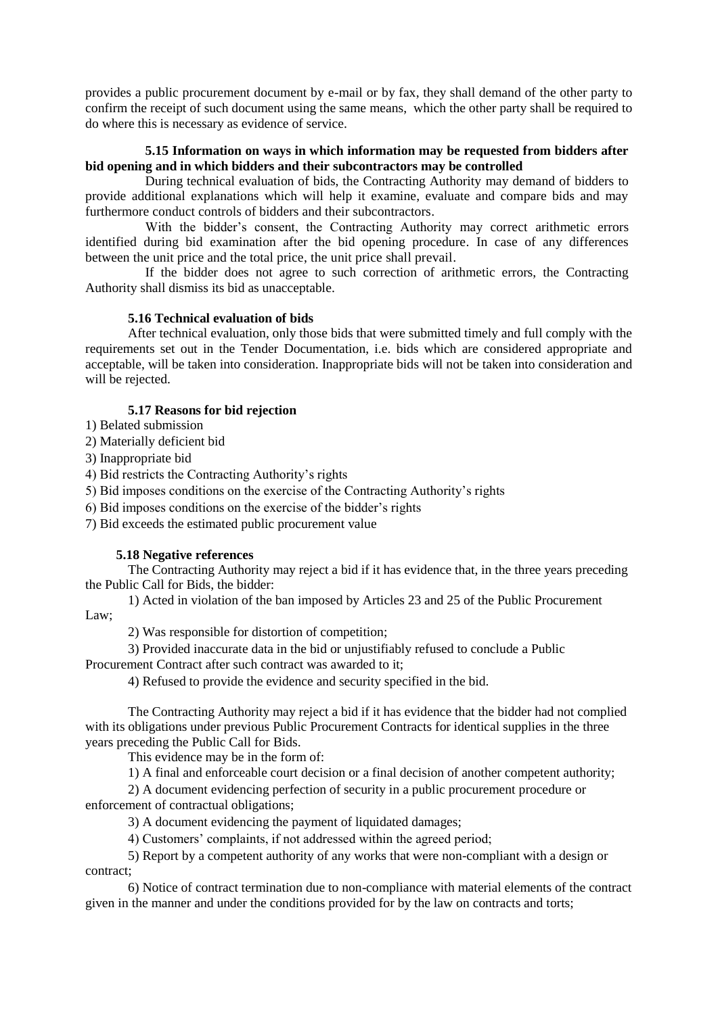provides a public procurement document by e-mail or by fax, they shall demand of the other party to confirm the receipt of such document using the same means, which the other party shall be required to do where this is necessary as evidence of service.

# **5.15 Information on ways in which information may be requested from bidders after bid opening and in which bidders and their subcontractors may be controlled**

During technical evaluation of bids, the Contracting Authority may demand of bidders to provide additional explanations which will help it examine, evaluate and compare bids and may furthermore conduct controls of bidders and their subcontractors.

With the bidder's consent, the Contracting Authority may correct arithmetic errors identified during bid examination after the bid opening procedure. In case of any differences between the unit price and the total price, the unit price shall prevail.

If the bidder does not agree to such correction of arithmetic errors, the Contracting Authority shall dismiss its bid as unacceptable.

### **5.16 Technical evaluation of bids**

After technical evaluation, only those bids that were submitted timely and full comply with the requirements set out in the Tender Documentation, i.e. bids which are considered appropriate and acceptable, will be taken into consideration. Inappropriate bids will not be taken into consideration and will be rejected.

# **5.17 Reasons for bid rejection**

1) Belated submission

2) Materially deficient bid

3) Inappropriate bid

4) Bid restricts the Contracting Authority's rights

5) Bid imposes conditions on the exercise of the Contracting Authority's rights

6) Bid imposes conditions on the exercise of the bidder's rights

7) Bid exceeds the estimated public procurement value

#### **5.18 Negative references**

The Contracting Authority may reject a bid if it has evidence that, in the three years preceding the Public Call for Bids, the bidder:

1) Acted in violation of the ban imposed by Articles 23 and 25 of the Public Procurement Law;

2) Was responsible for distortion of competition;

3) Provided inaccurate data in the bid or unjustifiably refused to conclude a Public Procurement Contract after such contract was awarded to it;

4) Refused to provide the evidence and security specified in the bid.

The Contracting Authority may reject a bid if it has evidence that the bidder had not complied with its obligations under previous Public Procurement Contracts for identical supplies in the three years preceding the Public Call for Bids.

This evidence may be in the form of:

1) A final and enforceable court decision or a final decision of another competent authority;

2) A document evidencing perfection of security in a public procurement procedure or enforcement of contractual obligations;

3) A document evidencing the payment of liquidated damages;

4) Customers' complaints, if not addressed within the agreed period;

5) Report by a competent authority of any works that were non-compliant with a design or contract;

6) Notice of contract termination due to non-compliance with material elements of the contract given in the manner and under the conditions provided for by the law on contracts and torts;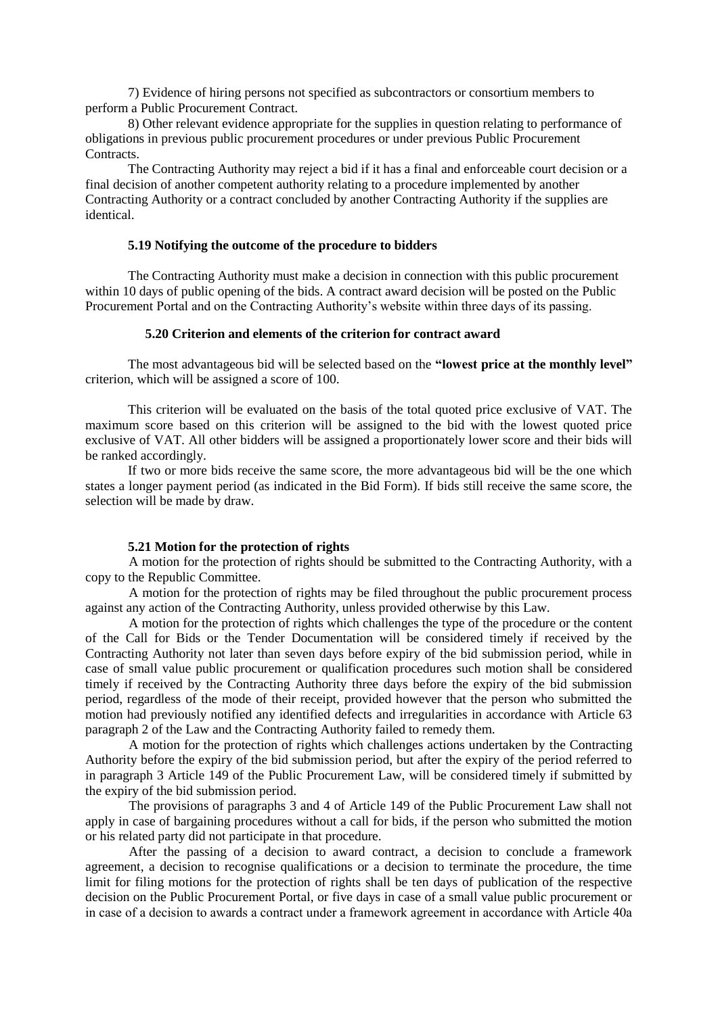7) Evidence of hiring persons not specified as subcontractors or consortium members to perform a Public Procurement Contract.

8) Other relevant evidence appropriate for the supplies in question relating to performance of obligations in previous public procurement procedures or under previous Public Procurement Contracts.

The Contracting Authority may reject a bid if it has a final and enforceable court decision or a final decision of another competent authority relating to a procedure implemented by another Contracting Authority or a contract concluded by another Contracting Authority if the supplies are identical.

### **5.19 Notifying the outcome of the procedure to bidders**

The Contracting Authority must make a decision in connection with this public procurement within 10 days of public opening of the bids. A contract award decision will be posted on the Public Procurement Portal and on the Contracting Authority's website within three days of its passing.

#### **5.20 Criterion and elements of the criterion for contract award**

The most advantageous bid will be selected based on the **"lowest price at the monthly level"**  criterion, which will be assigned a score of 100.

This criterion will be evaluated on the basis of the total quoted price exclusive of VAT. The maximum score based on this criterion will be assigned to the bid with the lowest quoted price exclusive of VAT. All other bidders will be assigned a proportionately lower score and their bids will be ranked accordingly.

If two or more bids receive the same score, the more advantageous bid will be the one which states a longer payment period (as indicated in the Bid Form). If bids still receive the same score, the selection will be made by draw.

### **5.21 Motion for the protection of rights**

A motion for the protection of rights should be submitted to the Contracting Authority, with a copy to the Republic Committee.

A motion for the protection of rights may be filed throughout the public procurement process against any action of the Contracting Authority, unless provided otherwise by this Law.

A motion for the protection of rights which challenges the type of the procedure or the content of the Call for Bids or the Tender Documentation will be considered timely if received by the Contracting Authority not later than seven days before expiry of the bid submission period, while in case of small value public procurement or qualification procedures such motion shall be considered timely if received by the Contracting Authority three days before the expiry of the bid submission period, regardless of the mode of their receipt, provided however that the person who submitted the motion had previously notified any identified defects and irregularities in accordance with Article 63 paragraph 2 of the Law and the Contracting Authority failed to remedy them.

A motion for the protection of rights which challenges actions undertaken by the Contracting Authority before the expiry of the bid submission period, but after the expiry of the period referred to in paragraph 3 Article 149 of the Public Procurement Law, will be considered timely if submitted by the expiry of the bid submission period.

The provisions of paragraphs 3 and 4 of Article 149 of the Public Procurement Law shall not apply in case of bargaining procedures without a call for bids, if the person who submitted the motion or his related party did not participate in that procedure.

After the passing of a decision to award contract, a decision to conclude a framework agreement, a decision to recognise qualifications or a decision to terminate the procedure, the time limit for filing motions for the protection of rights shall be ten days of publication of the respective decision on the Public Procurement Portal, or five days in case of a small value public procurement or in case of a decision to awards a contract under a framework agreement in accordance with Article 40а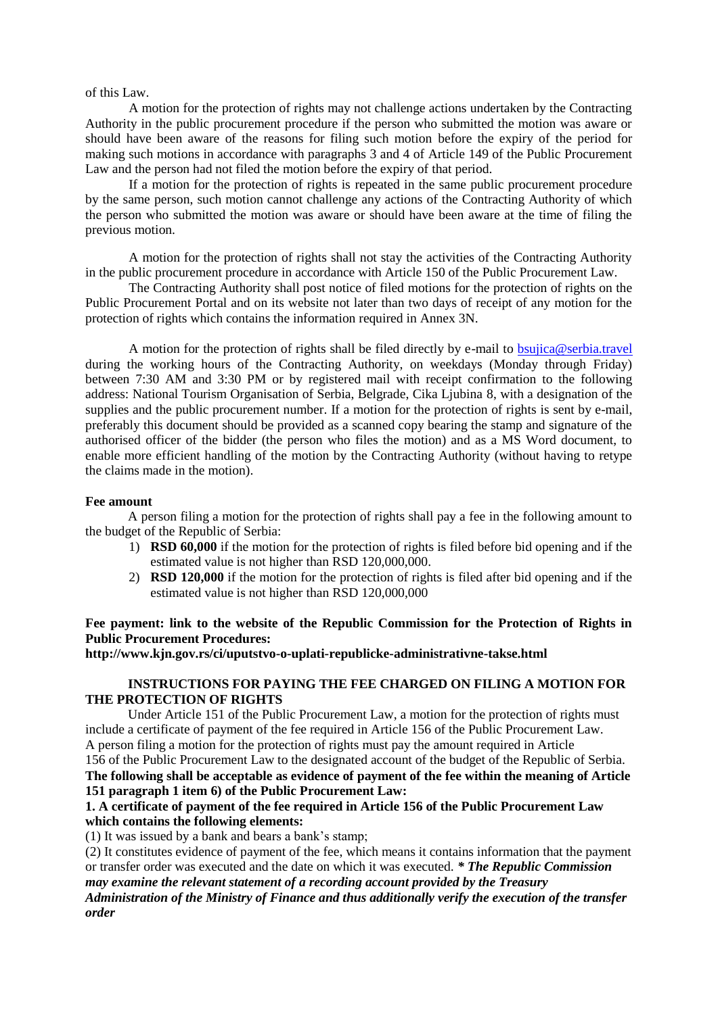#### of this Law.

A motion for the protection of rights may not challenge actions undertaken by the Contracting Authority in the public procurement procedure if the person who submitted the motion was aware or should have been aware of the reasons for filing such motion before the expiry of the period for making such motions in accordance with paragraphs 3 and 4 of Article 149 of the Public Procurement Law and the person had not filed the motion before the expiry of that period.

If a motion for the protection of rights is repeated in the same public procurement procedure by the same person, such motion cannot challenge any actions of the Contracting Authority of which the person who submitted the motion was aware or should have been aware at the time of filing the previous motion.

A motion for the protection of rights shall not stay the activities of the Contracting Authority in the public procurement procedure in accordance with Article 150 of the Public Procurement Law.

The Contracting Authority shall post notice of filed motions for the protection of rights on the Public Procurement Portal and on its website not later than two days of receipt of any motion for the protection of rights which contains the information required in Annex 3N.

A motion for the protection of rights shall be filed directly by e-mail to [bsujica@serbia.travel](mailto:bsujica@serbia.travel) during the working hours of the Contracting Authority, on weekdays (Monday through Friday) between 7:30 AM and 3:30 PM or by registered mail with receipt confirmation to the following address: National Tourism Organisation of Serbia, Belgrade, Cika Ljubina 8, with a designation of the supplies and the public procurement number. If a motion for the protection of rights is sent by e-mail, preferably this document should be provided as a scanned copy bearing the stamp and signature of the authorised officer of the bidder (the person who files the motion) and as a MS Word document, to enable more efficient handling of the motion by the Contracting Authority (without having to retype the claims made in the motion).

#### **Fee amount**

A person filing a motion for the protection of rights shall pay a fee in the following amount to the budget of the Republic of Serbia:

- 1) **RSD 60,000** if the motion for the protection of rights is filed before bid opening and if the estimated value is not higher than RSD 120,000,000.
- 2) **RSD 120,000** if the motion for the protection of rights is filed after bid opening and if the estimated value is not higher than RSD 120,000,000

### **Fee payment: link to the website of the Republic Commission for the Protection of Rights in Public Procurement Procedures:**

**http://www.kjn.gov.rs/ci/uputstvo-o-uplati-republicke-administrativne-takse.html**

# **INSTRUCTIONS FOR PAYING THE FEE CHARGED ON FILING A MOTION FOR THE PROTECTION OF RIGHTS**

Under Article 151 of the Public Procurement Law, a motion for the protection of rights must include a certificate of payment of the fee required in Article 156 of the Public Procurement Law. A person filing a motion for the protection of rights must pay the amount required in Article 156 of the Public Procurement Law to the designated account of the budget of the Republic of Serbia.

**The following shall be acceptable as evidence of payment of the fee within the meaning of Article 151 paragraph 1 item 6) of the Public Procurement Law:**

# **1. A certificate of payment of the fee required in Article 156 of the Public Procurement Law which contains the following elements:**

(1) It was issued by a bank and bears a bank's stamp;

(2) It constitutes evidence of payment of the fee, which means it contains information that the payment or transfer order was executed and the date on which it was executed. *\* The Republic Commission may examine the relevant statement of a recording account provided by the Treasury Administration of the Ministry of Finance and thus additionally verify the execution of the transfer order*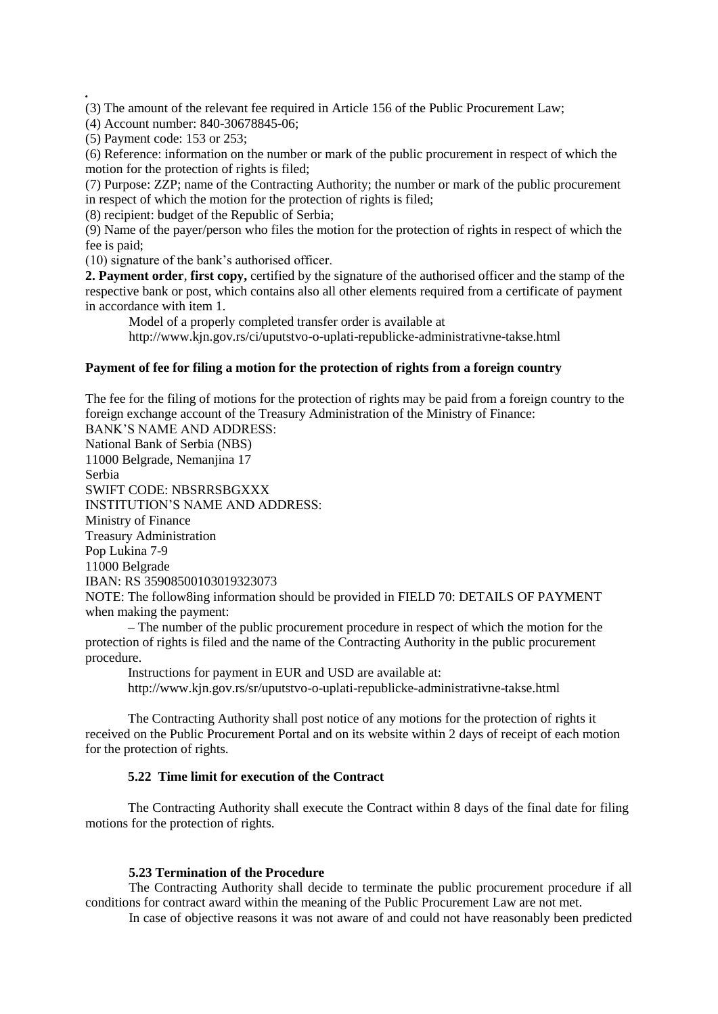(3) The amount of the relevant fee required in Article 156 of the Public Procurement Law;

(4) Account number: 840-30678845-06;

(5) Payment code: 153 or 253;

*.*

(6) Reference: information on the number or mark of the public procurement in respect of which the motion for the protection of rights is filed;

(7) Purpose: ZZP; name of the Contracting Authority; the number or mark of the public procurement in respect of which the motion for the protection of rights is filed;

(8) recipient: budget of the Republic of Serbia;

(9) Name of the payer/person who files the motion for the protection of rights in respect of which the fee is paid;

(10) signature of the bank's authorised officer.

**2. Payment order**, **first copy,** certified by the signature of the authorised officer and the stamp of the respective bank or post, which contains also all other elements required from a certificate of payment in accordance with item 1.

Model of a properly completed transfer order is available at http://www.kjn.gov.rs/ci/uputstvo-o-uplati-republicke-administrativne-takse.html

### **Payment of fee for filing a motion for the protection of rights from a foreign country**

The fee for the filing of motions for the protection of rights may be paid from a foreign country to the foreign exchange account of the Treasury Administration of the Ministry of Finance: BANK'S NAME AND ADDRESS: National Bank of Serbia (NBS) 11000 Belgrade, Nemanjina 17 Serbia SWIFT CODE: NBSRRSBGXXX INSTITUTION'S NAME AND ADDRESS: Ministry of Finance Treasury Administration Pop Lukina 7-9 11000 Belgrade IBAN: RS 35908500103019323073 NOTE: The follow8ing information should be provided in FIELD 70: DETAILS OF PAYMENT when making the payment:

– The number of the public procurement procedure in respect of which the motion for the protection of rights is filed and the name of the Contracting Authority in the public procurement procedure.

Instructions for payment in EUR and USD are available at: http://www.kjn.gov.rs/sr/uputstvo-o-uplati-republicke-administrativne-takse.html

The Contracting Authority shall post notice of any motions for the protection of rights it received on the Public Procurement Portal and on its website within 2 days of receipt of each motion for the protection of rights.

# **5.22 Time limit for execution of the Contract**

The Contracting Authority shall execute the Contract within 8 days of the final date for filing motions for the protection of rights.

#### **5.23 Termination of the Procedure**

The Contracting Authority shall decide to terminate the public procurement procedure if all conditions for contract award within the meaning of the Public Procurement Law are not met.

In case of objective reasons it was not aware of and could not have reasonably been predicted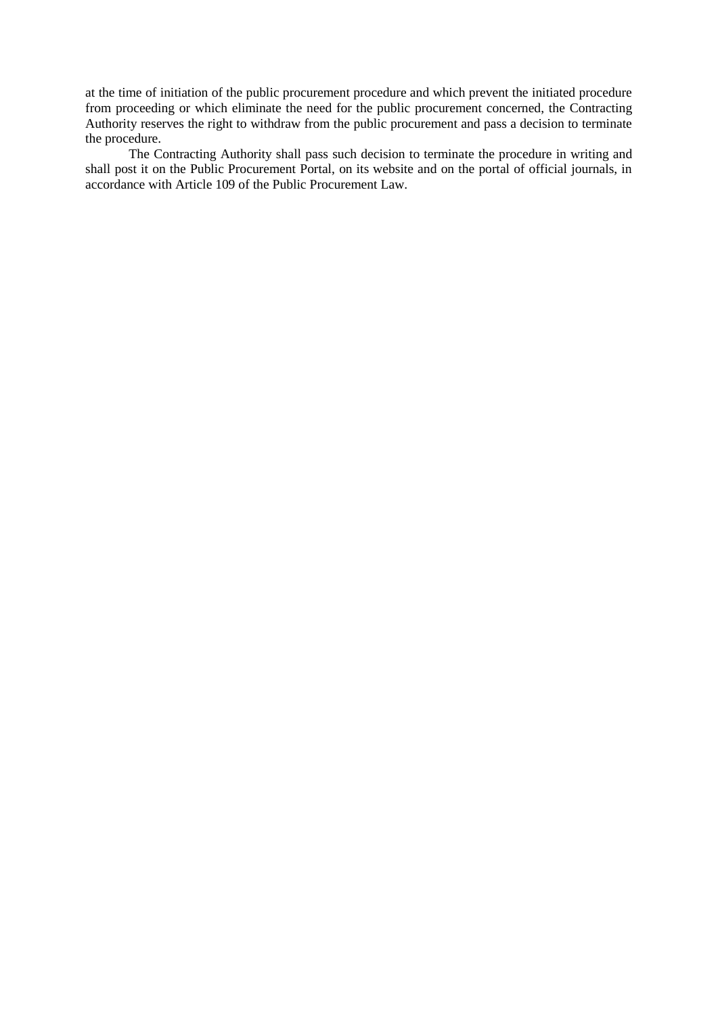at the time of initiation of the public procurement procedure and which prevent the initiated procedure from proceeding or which eliminate the need for the public procurement concerned, the Contracting Authority reserves the right to withdraw from the public procurement and pass a decision to terminate the procedure.

The Contracting Authority shall pass such decision to terminate the procedure in writing and shall post it on the Public Procurement Portal, on its website and on the portal of official journals, in accordance with Article 109 of the Public Procurement Law.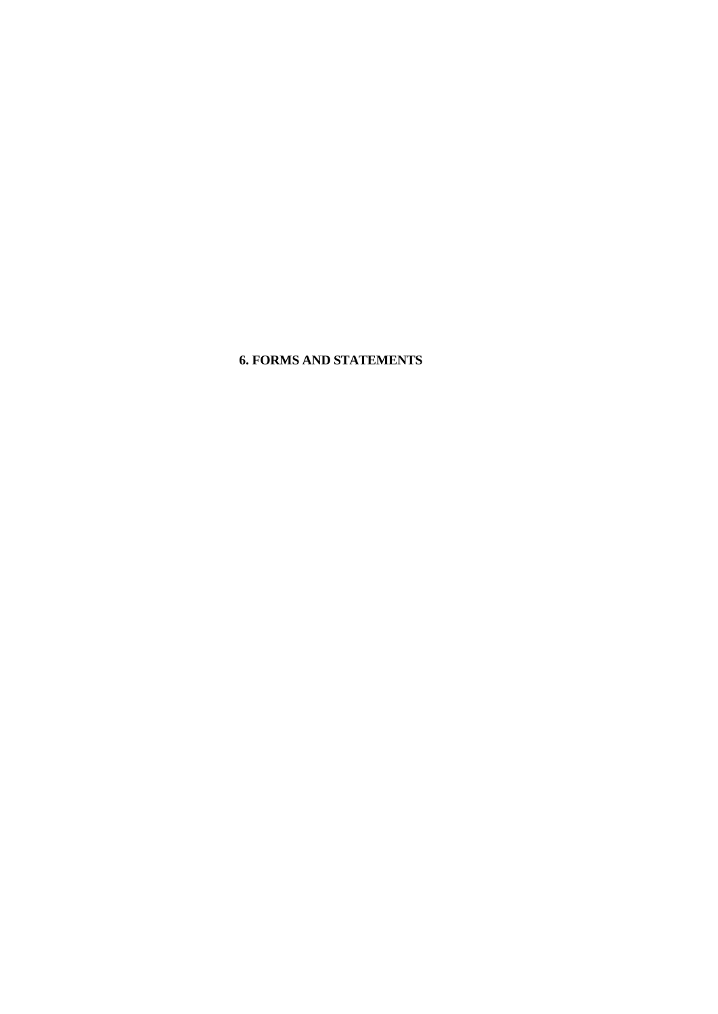# **6. FORMS AND STATEMENTS**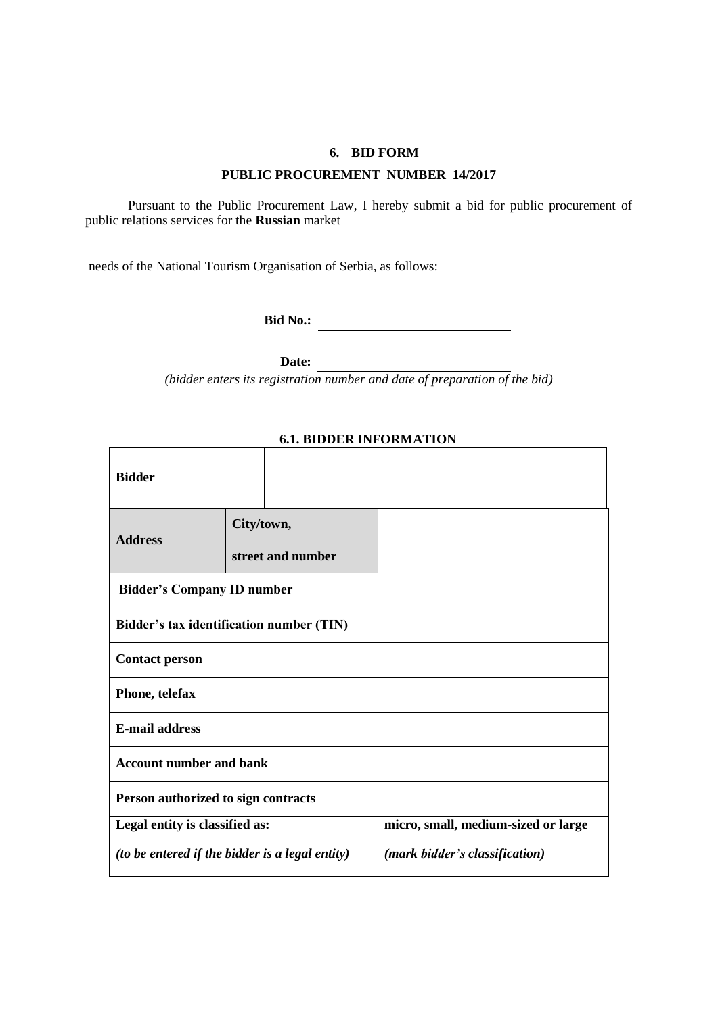### **6. BID FORM**

### **PUBLIC PROCUREMENT NUMBER 14/2017**

Pursuant to the Public Procurement Law, I hereby submit a bid for public procurement of public relations services for the **Russian** market

needs of the National Tourism Organisation of Serbia, as follows:

**Bid No.:**

**Date:**

*(bidder enters its registration number and date of preparation of the bid)*

| <b>Bidder</b>                            |                                                        |                                     |
|------------------------------------------|--------------------------------------------------------|-------------------------------------|
| <b>Address</b>                           | City/town,                                             |                                     |
|                                          | street and number                                      |                                     |
| <b>Bidder's Company ID number</b>        |                                                        |                                     |
| Bidder's tax identification number (TIN) |                                                        |                                     |
| <b>Contact person</b>                    |                                                        |                                     |
| Phone, telefax                           |                                                        |                                     |
| <b>E-mail address</b>                    |                                                        |                                     |
| <b>Account number and bank</b>           |                                                        |                                     |
| Person authorized to sign contracts      |                                                        |                                     |
| Legal entity is classified as:           |                                                        | micro, small, medium-sized or large |
|                                          | <i>(to be entered if the bidder is a legal entity)</i> | (mark bidder's classification)      |

# **6.1. BIDDER INFORMATION**

 $\overline{\phantom{a}}$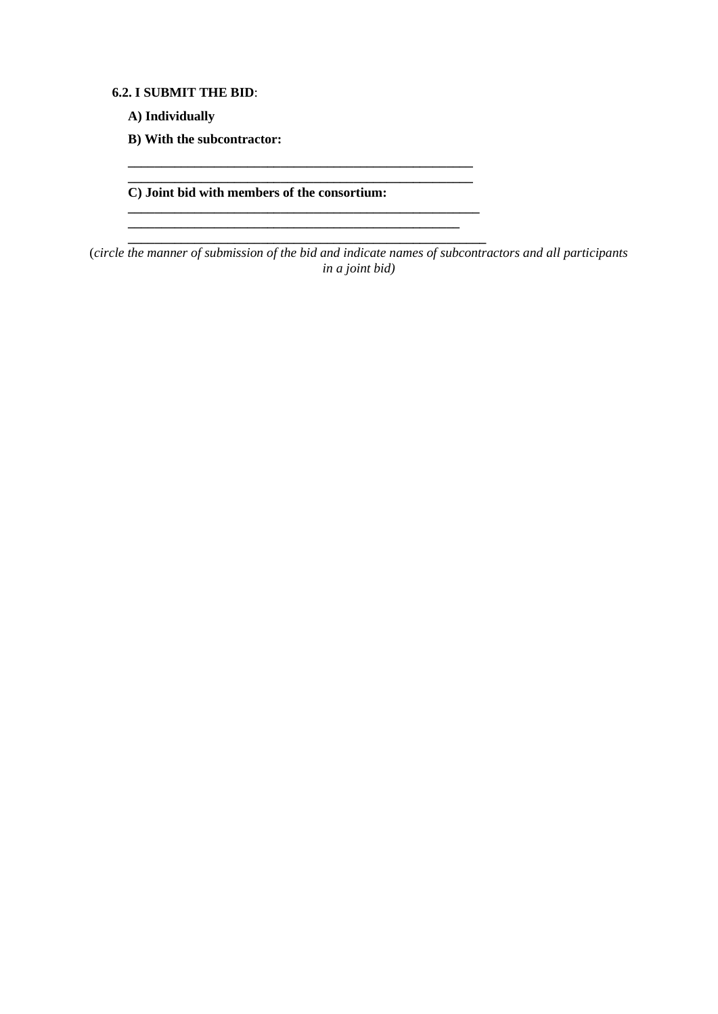**6.2. I SUBMIT THE BID**:

**A) Individually**

**B) With the subcontractor:** 

**C) Joint bid with members of the consortium:**

**\_\_\_\_\_\_\_\_\_\_\_\_\_\_\_\_\_\_\_\_\_\_\_\_\_\_\_\_\_\_\_\_\_\_\_\_\_\_\_\_\_\_\_\_\_\_\_\_\_\_\_\_ \_\_\_\_\_\_\_\_\_\_\_\_\_\_\_\_\_\_\_\_\_\_\_\_\_\_\_\_\_\_\_\_\_\_\_\_\_\_\_\_\_\_\_\_\_\_\_\_\_\_\_\_**

**\_\_\_\_\_\_\_\_\_\_\_\_\_\_\_\_\_\_\_\_\_\_\_\_\_\_\_\_\_\_\_\_\_\_\_\_\_\_\_\_\_\_\_\_\_\_\_\_\_\_\_\_\_ \_\_\_\_\_\_\_\_\_\_\_\_\_\_\_\_\_\_\_\_\_\_\_\_\_\_\_\_\_\_\_\_\_\_\_\_\_\_\_\_\_\_\_\_\_\_\_\_\_\_ \_\_\_\_\_\_\_\_\_\_\_\_\_\_\_\_\_\_\_\_\_\_\_\_\_\_\_\_\_\_\_\_\_\_\_\_\_\_\_\_\_\_\_\_\_\_\_\_\_\_\_\_\_\_**

(*circle the manner of submission of the bid and indicate names of subcontractors and all participants in a joint bid)*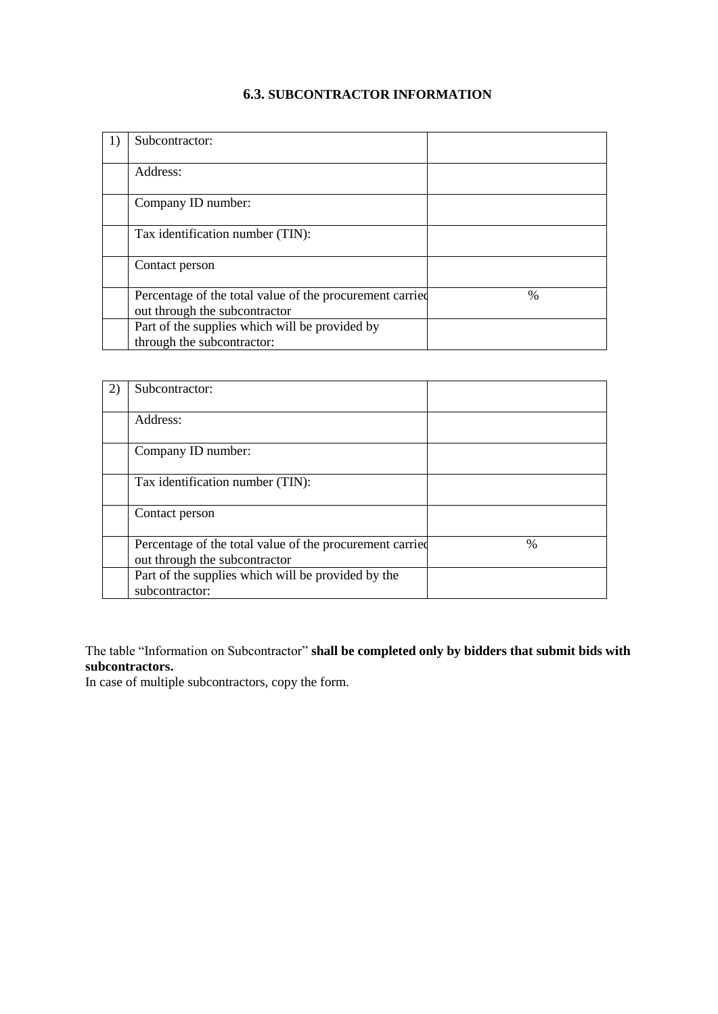# **6.3. SUBCONTRACTOR INFORMATION**

| 1) | Subcontractor:                                                                            |               |
|----|-------------------------------------------------------------------------------------------|---------------|
|    | Address:                                                                                  |               |
|    | Company ID number:                                                                        |               |
|    | Tax identification number (TIN):                                                          |               |
|    | Contact person                                                                            |               |
|    | Percentage of the total value of the procurement carried<br>out through the subcontractor | $\frac{0}{0}$ |
|    | Part of the supplies which will be provided by<br>through the subcontractor:              |               |

| Subcontractor:                                                                            |               |
|-------------------------------------------------------------------------------------------|---------------|
| Address:                                                                                  |               |
| Company ID number:                                                                        |               |
| Tax identification number (TIN):                                                          |               |
| Contact person                                                                            |               |
| Percentage of the total value of the procurement carried<br>out through the subcontractor | $\frac{0}{0}$ |
| Part of the supplies which will be provided by the<br>subcontractor:                      |               |

The table "Information on Subcontractor" **shall be completed only by bidders that submit bids with subcontractors.**

In case of multiple subcontractors, copy the form.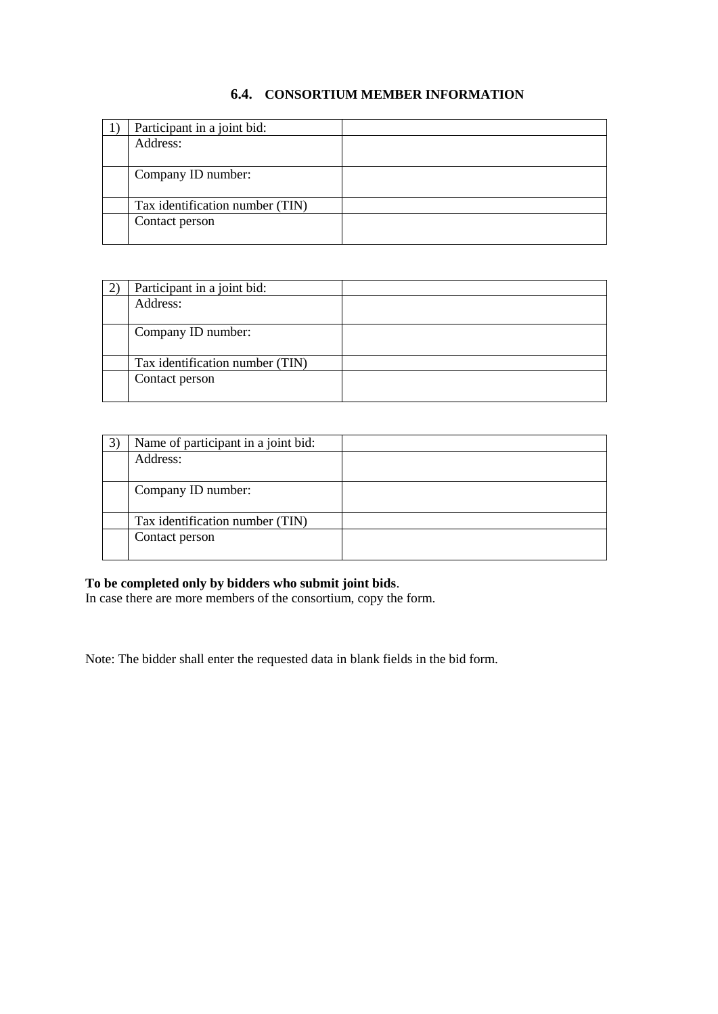# **6.4. CONSORTIUM MEMBER INFORMATION**

| Participant in a joint bid:     |  |
|---------------------------------|--|
| Address:                        |  |
|                                 |  |
| Company ID number:              |  |
|                                 |  |
| Tax identification number (TIN) |  |
| Contact person                  |  |
|                                 |  |

| Participant in a joint bid:     |
|---------------------------------|
| Address:                        |
|                                 |
| Company ID number:              |
|                                 |
| Tax identification number (TIN) |
| Contact person                  |
|                                 |

| Name of participant in a joint bid: |
|-------------------------------------|
| Address:                            |
|                                     |
| Company ID number:                  |
|                                     |
| Tax identification number (TIN)     |
| Contact person                      |
|                                     |

### **To be completed only by bidders who submit joint bids**.

In case there are more members of the consortium, copy the form.

Note: The bidder shall enter the requested data in blank fields in the bid form.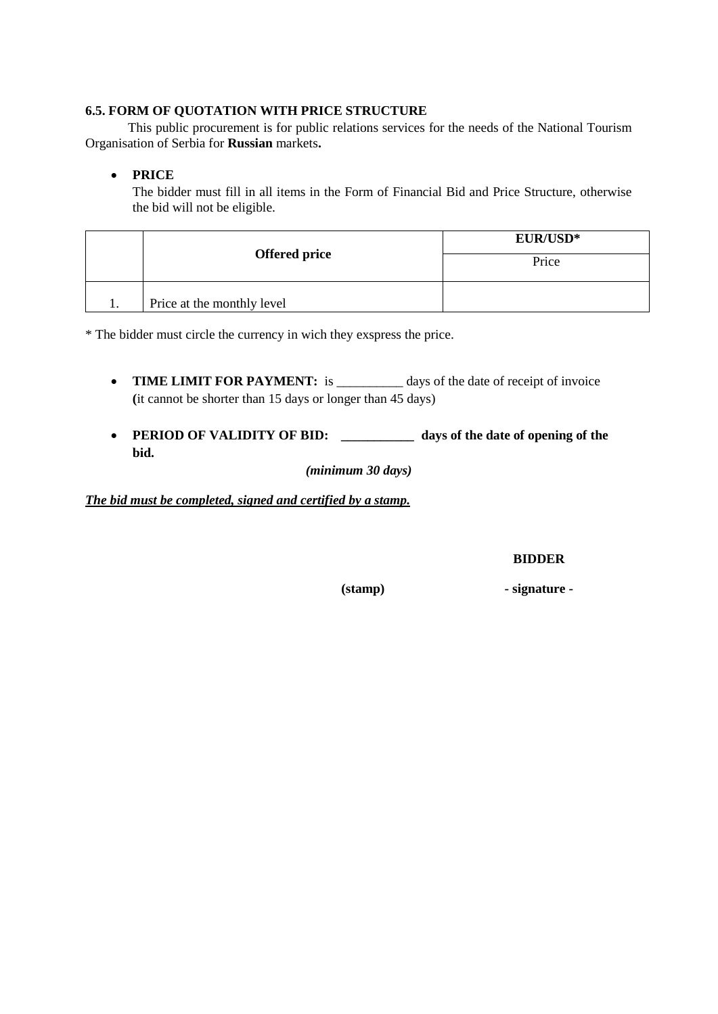# **6.5. FORM OF QUOTATION WITH PRICE STRUCTURE**

This public procurement is for public relations services for the needs of the National Tourism Organisation of Serbia for **Russian** markets**.**

# **PRICE**

The bidder must fill in all items in the Form of Financial Bid and Price Structure, otherwise the bid will not be eligible.

|                            | <b>EUR/USD*</b> |  |
|----------------------------|-----------------|--|
| <b>Offered price</b>       | Price           |  |
| Price at the monthly level |                 |  |

\* The bidder must circle the currency in wich they exspress the price.

- **TIME LIMIT FOR PAYMENT:** is days of the date of receipt of invoice **(**it cannot be shorter than 15 days or longer than 45 days)
- **PERIOD OF VALIDITY OF BID:** *\_\_\_\_\_\_\_\_\_\_\_* **days of the date of opening of the bid.**

*(minimum 30 days)*

*The bid must be completed, signed and certified by a stamp.* 

### **BIDDER**

**(stamp) - signature -**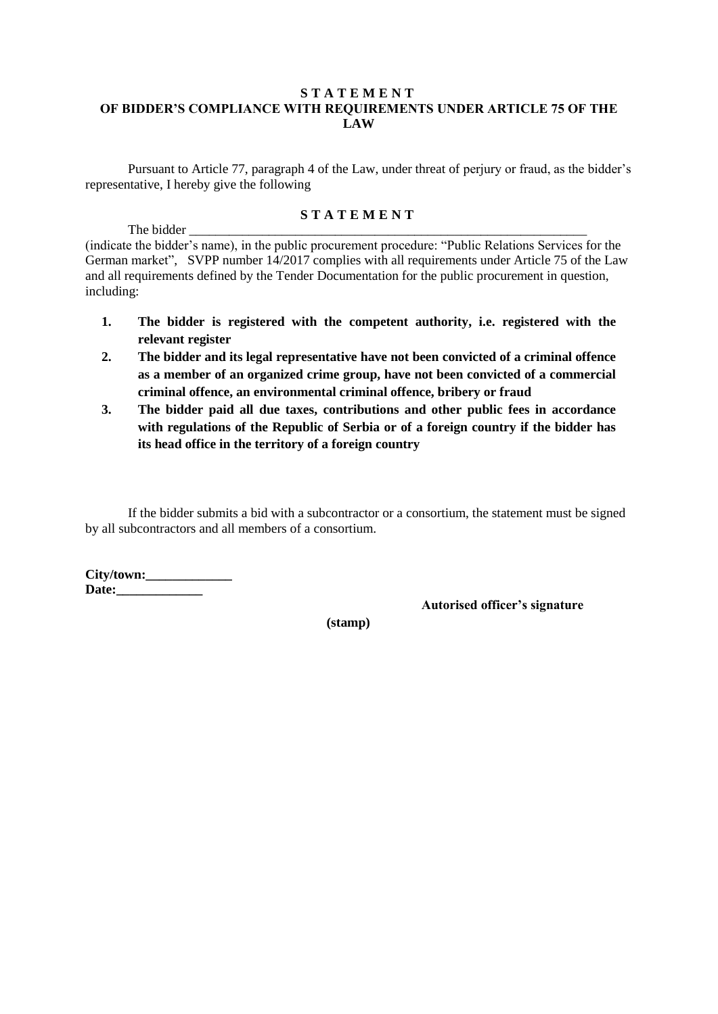# **S T A T E M E N T OF BIDDER'S COMPLIANCE WITH REQUIREMENTS UNDER ARTICLE 75 OF THE LAW**

Pursuant to Article 77, paragraph 4 of the Law, under threat of perjury or fraud, as the bidder's representative, I hereby give the following

# **S T A T E M E N T**

The bidder \_ (indicate the bidder's name), in the public procurement procedure: "Public Relations Services for the German market", SVPP number 14/2017 complies with all requirements under Article 75 of the Law and all requirements defined by the Tender Documentation for the public procurement in question, including:

- **1. The bidder is registered with the competent authority, i.e. registered with the relevant register**
- **2. The bidder and its legal representative have not been convicted of a criminal offence as a member of an organized crime group, have not been convicted of a commercial criminal offence, an environmental criminal offence, bribery or fraud**
- **3. The bidder paid all due taxes, contributions and other public fees in accordance with regulations of the Republic of Serbia or of a foreign country if the bidder has its head office in the territory of a foreign country**

If the bidder submits a bid with a subcontractor or a consortium, the statement must be signed by all subcontractors and all members of a consortium.

**City/town:\_\_\_\_\_\_\_\_\_\_\_\_\_** Date:

**Autorised officer's signature**

**(stamp)**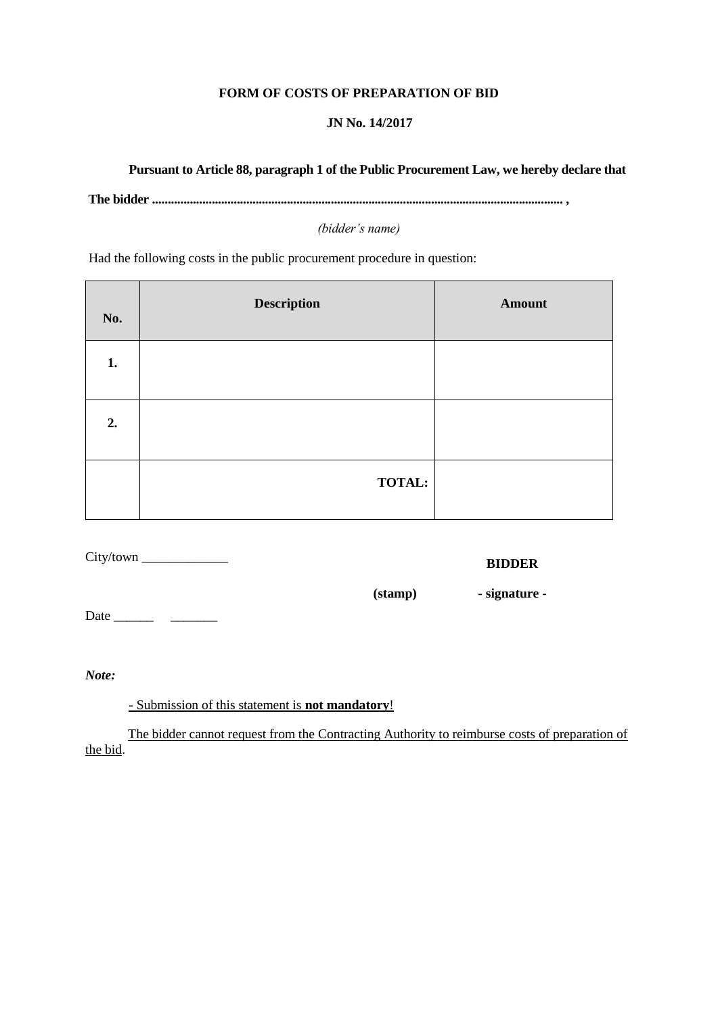# **FORM OF COSTS OF PREPARATION OF BID**

# **JN No. 14/2017**

# **Pursuant to Article 88, paragraph 1 of the Public Procurement Law, we hereby declare that**

**The bidder ................................................................................................................................... ,**

*(bidder's name)*

Had the following costs in the public procurement procedure in question:

| No. | <b>Description</b> | <b>Amount</b> |
|-----|--------------------|---------------|
| 1.  |                    |               |
| 2.  |                    |               |
|     | <b>TOTAL:</b>      |               |

City/town \_\_\_\_\_\_\_\_\_\_\_\_\_

**BIDDER**

**(stamp) - signature -**

Date \_\_\_\_\_\_ \_\_\_\_\_\_\_

**-** Submission of this statement is **not mandatory**!

The bidder cannot request from the Contracting Authority to reimburse costs of preparation of the bid.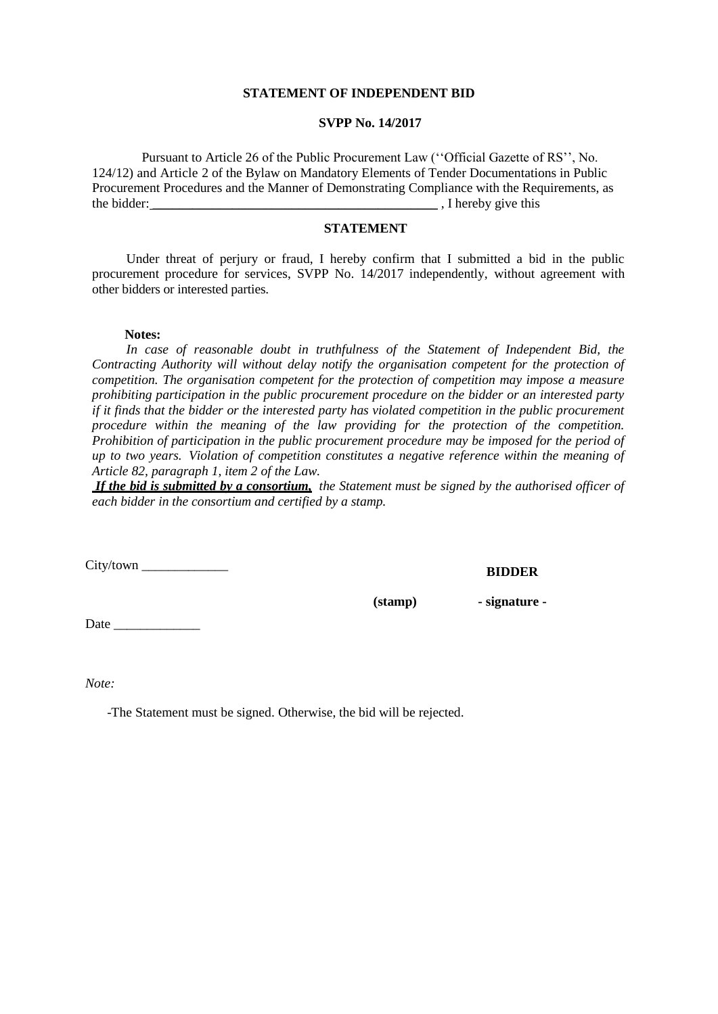### **STATEMENT OF INDEPENDENT BID**

#### **SVPP No. 14/2017**

Pursuant to Article 26 of the Public Procurement Law (''Official Gazette of RS'', No. 124/12) and Article 2 of the Bylaw on Mandatory Elements of Tender Documentations in Public Procurement Procedures and the Manner of Demonstrating Compliance with the Requirements, as the bidder: \_\_\_\_\_\_\_\_\_\_\_\_\_\_\_\_\_\_\_\_\_\_\_\_\_\_\_\_\_\_\_\_\_\_\_\_\_\_\_\_\_\_\_ , I hereby give this

#### **STATEMENT**

Under threat of perjury or fraud, I hereby confirm that I submitted a bid in the public procurement procedure for services, SVPP No. 14/2017 independently, without agreement with other bidders or interested parties.

#### **Notes:**

*In case of reasonable doubt in truthfulness of the Statement of Independent Bid, the Contracting Authority will without delay notify the organisation competent for the protection of competition. The organisation competent for the protection of competition may impose a measure prohibiting participation in the public procurement procedure on the bidder or an interested party if it finds that the bidder or the interested party has violated competition in the public procurement procedure within the meaning of the law providing for the protection of the competition. Prohibition of participation in the public procurement procedure may be imposed for the period of up to two years. Violation of competition constitutes a negative reference within the meaning of Article 82, paragraph 1, item 2 of the Law.*

*If the bid is submitted by a consortium, the Statement must be signed by the authorised officer of each bidder in the consortium and certified by a stamp.*

City/town \_\_\_\_\_\_\_\_\_\_\_\_\_

**BIDDER**

**(stamp) - signature -**

Date \_\_\_\_\_\_\_\_\_\_\_\_\_

*Note:*

-The Statement must be signed. Otherwise, the bid will be rejected.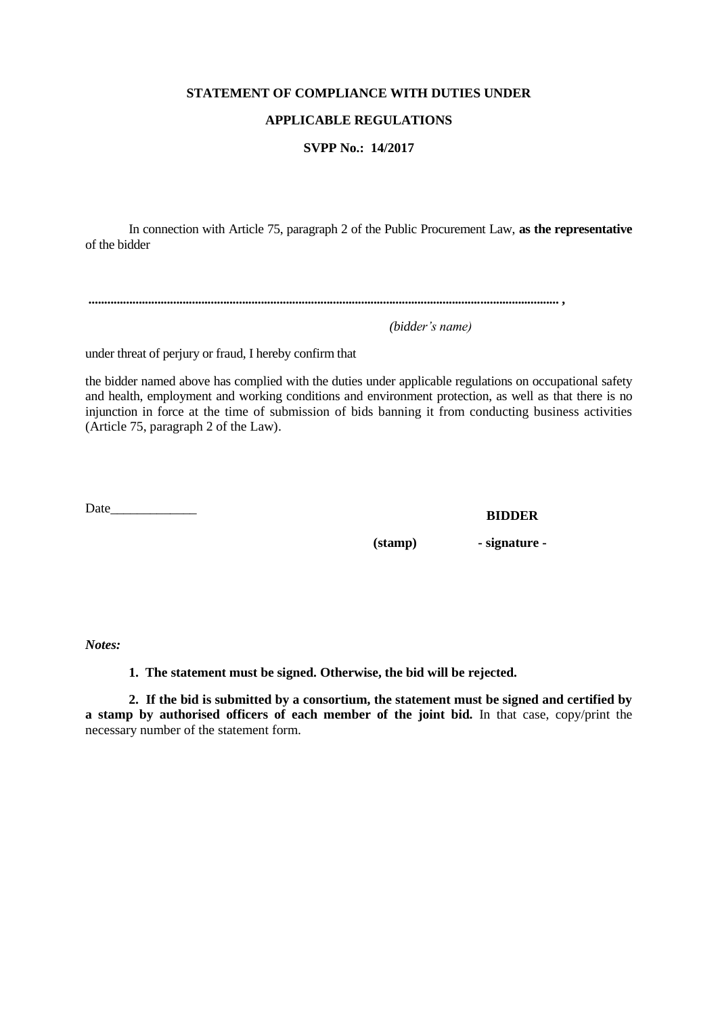# **STATEMENT OF COMPLIANCE WITH DUTIES UNDER**

# **APPLICABLE REGULATIONS**

### **SVPP No.: 14/2017**

In connection with Article 75, paragraph 2 of the Public Procurement Law, **as the representative**  of the bidder

**...................................................................................................................................................... ,**

 *(bidder's name)* 

under threat of perjury or fraud, I hereby confirm that

the bidder named above has complied with the duties under applicable regulations on occupational safety and health, employment and working conditions and environment protection, as well as that there is no injunction in force at the time of submission of bids banning it from conducting business activities (Article 75, paragraph 2 of the Law).

Date\_\_\_\_\_\_\_\_\_\_\_\_\_

**BIDDER**

**(stamp) - signature -**

*Notes:*

**1. The statement must be signed. Otherwise, the bid will be rejected.**

**2. If the bid is submitted by a consortium, the statement must be signed and certified by a stamp by authorised officers of each member of the joint bid.** In that case, copy/print the necessary number of the statement form.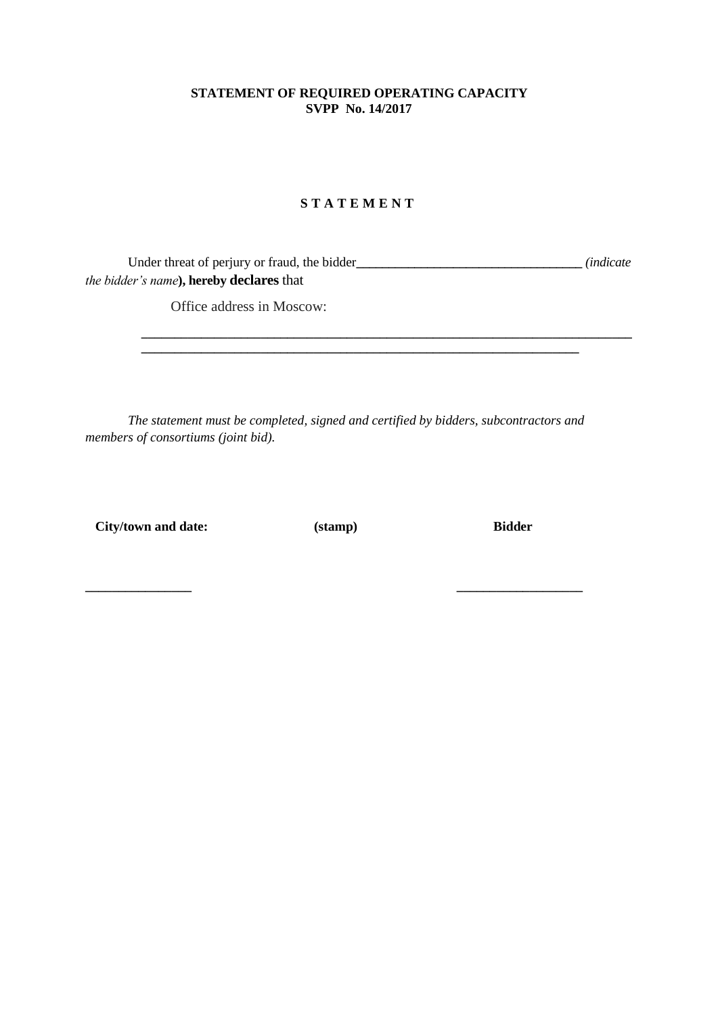# **STATEMENT OF REQUIRED OPERATING CAPACITY SVPP No. 14/2017**

# **S T A T E M E N T**

Under threat of perjury or fraud, the bidder**\_\_\_\_\_\_\_\_\_\_\_\_\_\_\_\_\_\_\_\_\_\_\_\_\_\_\_\_\_\_\_\_\_\_\_** *(indicate the bidder's name***), hereby declares** that

**\_\_\_\_\_\_\_\_\_\_\_\_\_\_\_\_\_\_\_\_\_\_\_\_\_\_\_\_\_\_\_\_\_\_\_\_\_\_\_\_\_\_\_\_\_\_\_\_\_\_\_\_\_\_\_\_\_\_\_\_\_\_\_\_\_\_**

**\_\_\_\_\_\_\_\_\_\_\_\_\_\_\_\_\_\_\_\_\_\_\_\_\_\_\_\_\_\_\_\_\_\_\_\_\_\_\_\_\_\_\_\_\_\_\_\_\_\_\_\_\_\_\_\_\_\_\_\_\_\_\_\_\_\_\_\_\_\_\_\_\_\_**

Office address in Moscow:

*The statement must be completed, signed and certified by bidders, subcontractors and members of consortiums (joint bid).*

 **City/town and date: (stamp) Bidder**

**\_\_\_\_\_\_\_\_\_\_\_\_\_\_\_\_ \_\_\_\_\_\_\_\_\_\_\_\_\_\_\_\_\_\_\_**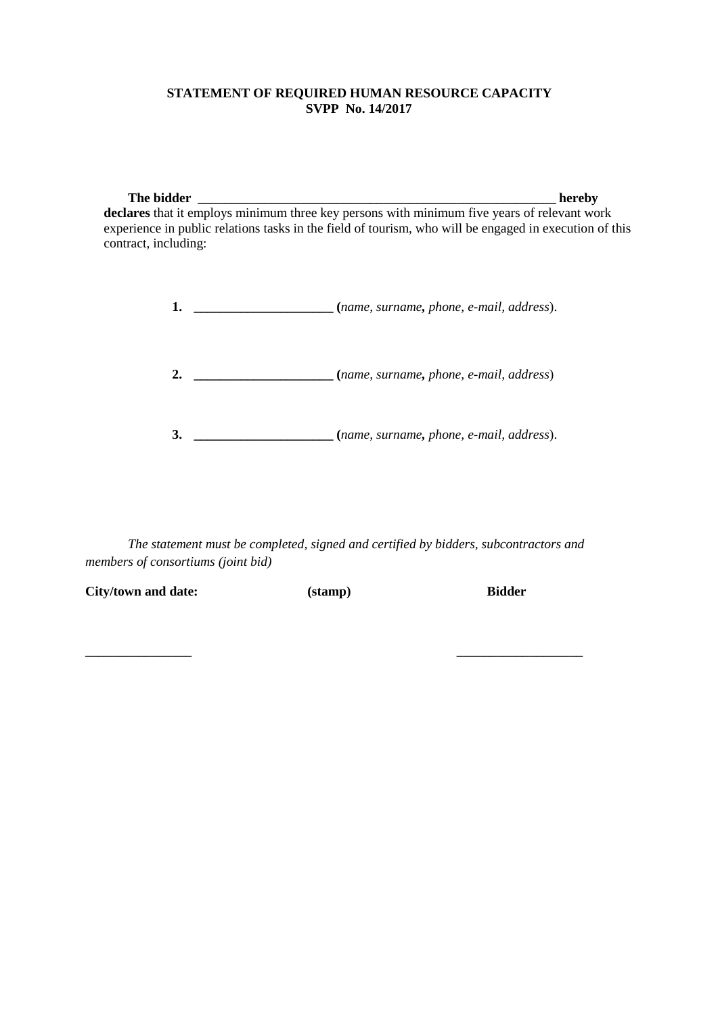# **STATEMENT OF REQUIRED HUMAN RESOURCE CAPACITY SVPP No. 14/2017**

**The bidder \_\_\_\_\_\_\_\_\_\_\_\_\_\_\_\_\_\_\_\_\_\_\_\_\_\_\_\_\_\_\_\_\_\_\_\_\_\_\_\_\_\_\_\_\_\_\_\_\_\_\_\_\_\_ hereby declares** that it employs minimum three key persons with minimum five years of relevant work experience in public relations tasks in the field of tourism, who will be engaged in execution of this contract, including:

| (name, surname, phone, e-mail, address). |
|------------------------------------------|
| (name, surname, phone, e-mail, address)  |
| (name, surname, phone, e-mail, address). |

*The statement must be completed, signed and certified by bidders, subcontractors and members of consortiums (joint bid)*

**\_\_\_\_\_\_\_\_\_\_\_\_\_\_\_\_ \_\_\_\_\_\_\_\_\_\_\_\_\_\_\_\_\_\_\_**

| City/town and date: | (stamp) | <b>Bidder</b> |
|---------------------|---------|---------------|
|                     |         |               |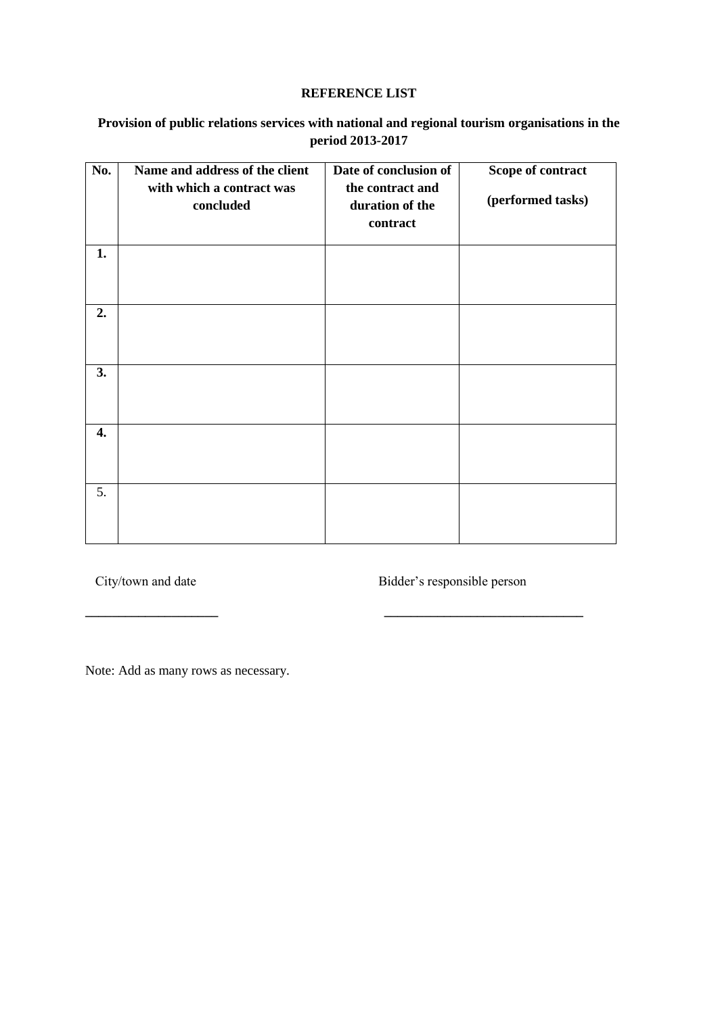# **REFERENCE LIST**

# **Provision of public relations services with national and regional tourism organisations in the period 2013-2017**

| No. | Name and address of the client<br>with which a contract was<br>concluded | Date of conclusion of<br>the contract and<br>duration of the<br>contract | Scope of contract<br>(performed tasks) |
|-----|--------------------------------------------------------------------------|--------------------------------------------------------------------------|----------------------------------------|
| 1.  |                                                                          |                                                                          |                                        |
| 2.  |                                                                          |                                                                          |                                        |
| 3.  |                                                                          |                                                                          |                                        |
| 4.  |                                                                          |                                                                          |                                        |
| 5.  |                                                                          |                                                                          |                                        |

**\_\_\_\_\_\_\_\_\_\_\_\_\_\_\_\_\_\_\_\_ \_\_\_\_\_\_\_\_\_\_\_\_\_\_\_\_\_\_\_\_\_\_\_\_\_\_\_\_\_\_**

City/town and date Bidder's responsible person

Note: Add as many rows as necessary.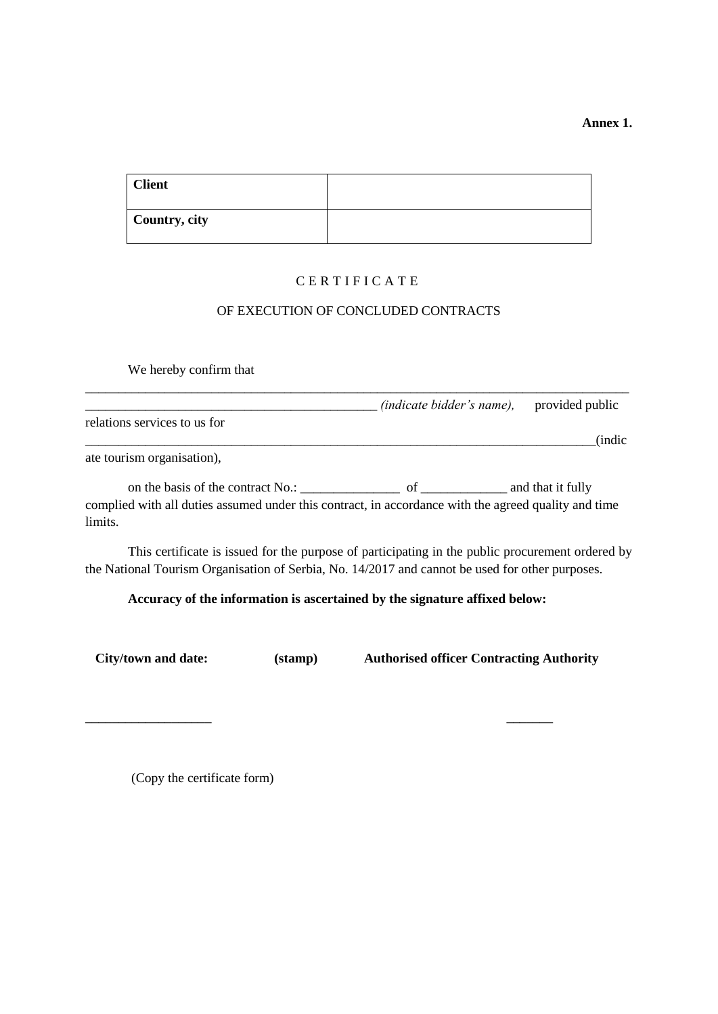**Annex 1.**

| <b>Client</b> |  |
|---------------|--|
| Country, city |  |

# C E R T I F I C A T E

# OF EXECUTION OF CONCLUDED CONTRACTS

We hereby confirm that

|                              | <i>(indicate bidder's name),</i> | provided public |
|------------------------------|----------------------------------|-----------------|
| relations services to us for |                                  | <i>(indic)</i>  |
| ate tourism organisation),   |                                  |                 |

on the basis of the contract No.: \_\_\_\_\_\_\_\_\_\_\_\_\_\_\_ of \_\_\_\_\_\_\_\_\_\_\_\_\_ and that it fully complied with all duties assumed under this contract, in accordance with the agreed quality and time limits.

This certificate is issued for the purpose of participating in the public procurement ordered by the National Tourism Organisation of Serbia, No. 14/2017 and cannot be used for other purposes.

# **Accuracy of the information is ascertained by the signature affixed below:**

|  | <b>City/town and date:</b> |
|--|----------------------------|
|  |                            |

**\_\_\_\_\_\_\_\_\_\_\_\_\_\_\_\_\_\_\_ \_\_\_\_\_\_\_**

**(stamp)** Authorised officer Contracting Authority

(Copy the certificate form)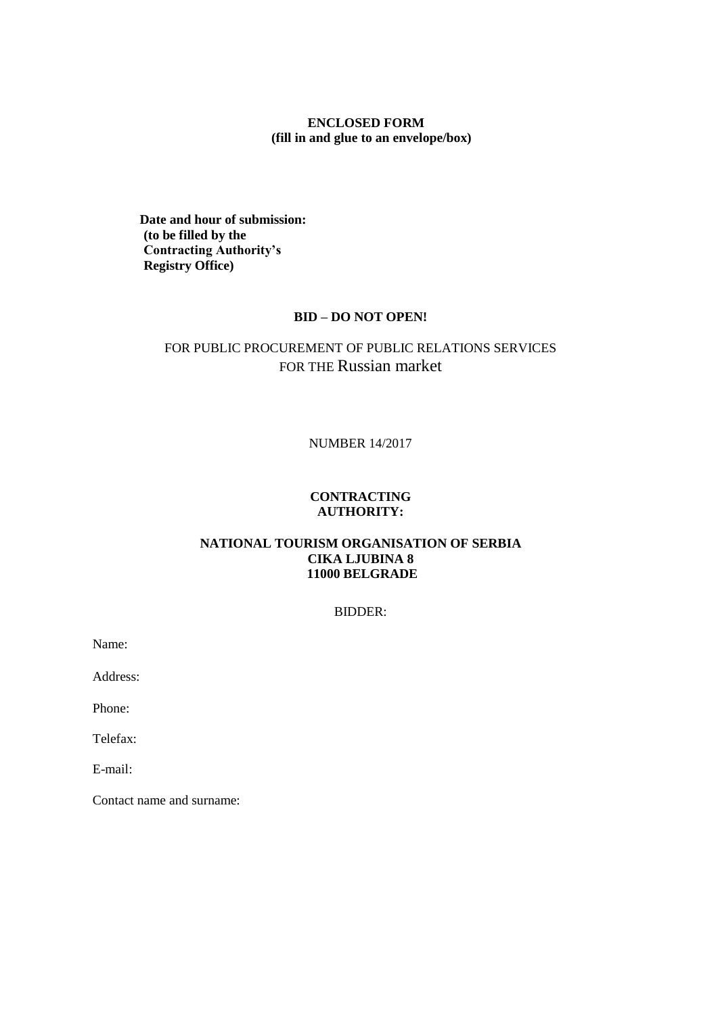# **ENCLOSED FORM (fill in and glue to an envelope/box)**

**Date and hour of submission: (to be filled by the Contracting Authority's Registry Office)**

# **BID – DO NOT OPEN!**

# FOR PUBLIC PROCUREMENT OF PUBLIC RELATIONS SERVICES FOR THE Russian market

### NUMBER 14/2017

# **CONTRACTING AUTHORITY:**

# **NATIONAL TOURISM ORGANISATION OF SERBIA CIKA LJUBINA 8 11000 BELGRADE**

### BIDDER:

Name:

Address:

Phone:

Telefax:

E-mail:

Contact name and surname: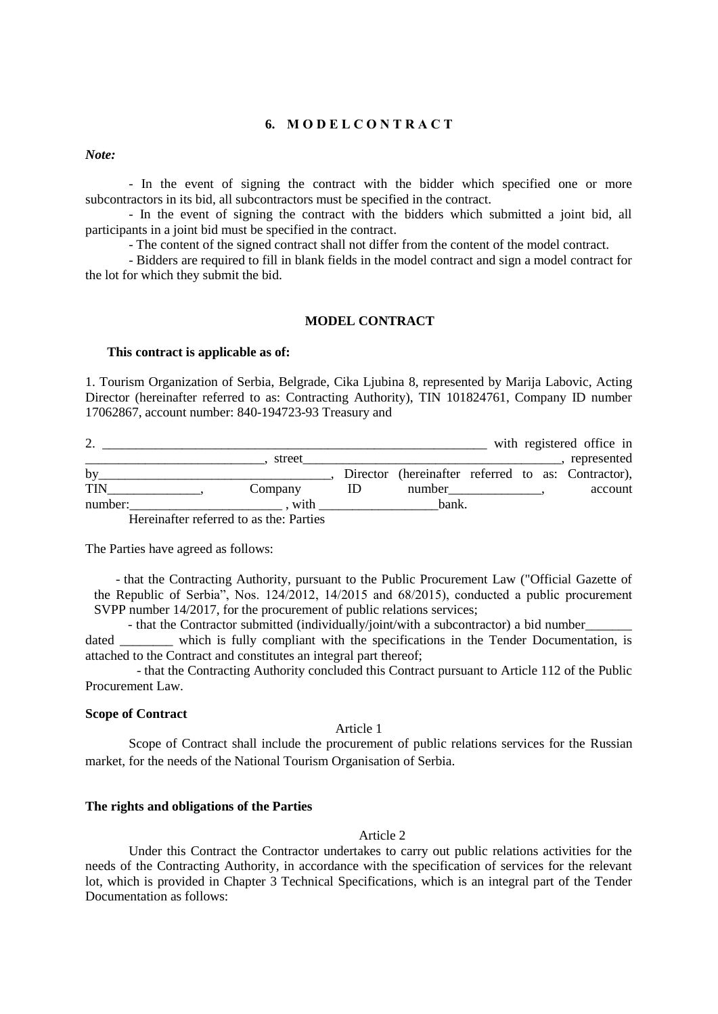### **6. М О D E L C O N T R A C T**

*Note:* 

- In the event of signing the contract with the bidder which specified one or more subcontractors in its bid, all subcontractors must be specified in the contract.

- In the event of signing the contract with the bidders which submitted a joint bid, all participants in a joint bid must be specified in the contract.

- The content of the signed contract shall not differ from the content of the model contract.

- Bidders are required to fill in blank fields in the model contract and sign a model contract for the lot for which they submit the bid.

#### **MODEL CONTRACT**

#### **This contract is applicable as of:**

1. Tourism Organization of Serbia, Belgrade, Cika Ljubina 8, represented by Marija Labovic, Acting Director (hereinafter referred to as: Contracting Authority), TIN 101824761, Company ID number 17062867, account number: 840-194723-93 Treasury and

| <u>.</u>   |         |                                                    |  | with registered office in |
|------------|---------|----------------------------------------------------|--|---------------------------|
|            | street  |                                                    |  | represented               |
| by         |         | Director (hereinafter referred to as: Contractor), |  |                           |
| <b>TIN</b> | Company | number                                             |  | account                   |
| number:    | with    | bank.                                              |  |                           |

Hereinafter referred to as the: Parties

The Parties have agreed as follows:

- that the Contracting Authority, pursuant to the Public Procurement Law ("Official Gazette of the Republic of Serbia", Nos. 124/2012, 14/2015 and 68/2015), conducted a public procurement SVPP number 14/2017, for the procurement of public relations services;

- that the Contractor submitted (individually/joint/with a subcontractor) a bid number

dated which is fully compliant with the specifications in the Tender Documentation, is attached to the Contract and constitutes an integral part thereof;

- that the Contracting Authority concluded this Contract pursuant to Article 112 of the Public Procurement Law.

#### **Scope of Contract**

Article 1

Scope of Contract shall include the procurement of public relations services for the Russian market, for the needs of the National Tourism Organisation of Serbia.

#### **The rights and obligations of the Parties**

Article 2

Under this Contract the Contractor undertakes to carry out public relations activities for the needs of the Contracting Authority, in accordance with the specification of services for the relevant lot, which is provided in Chapter 3 Technical Specifications, which is an integral part of the Tender Documentation as follows: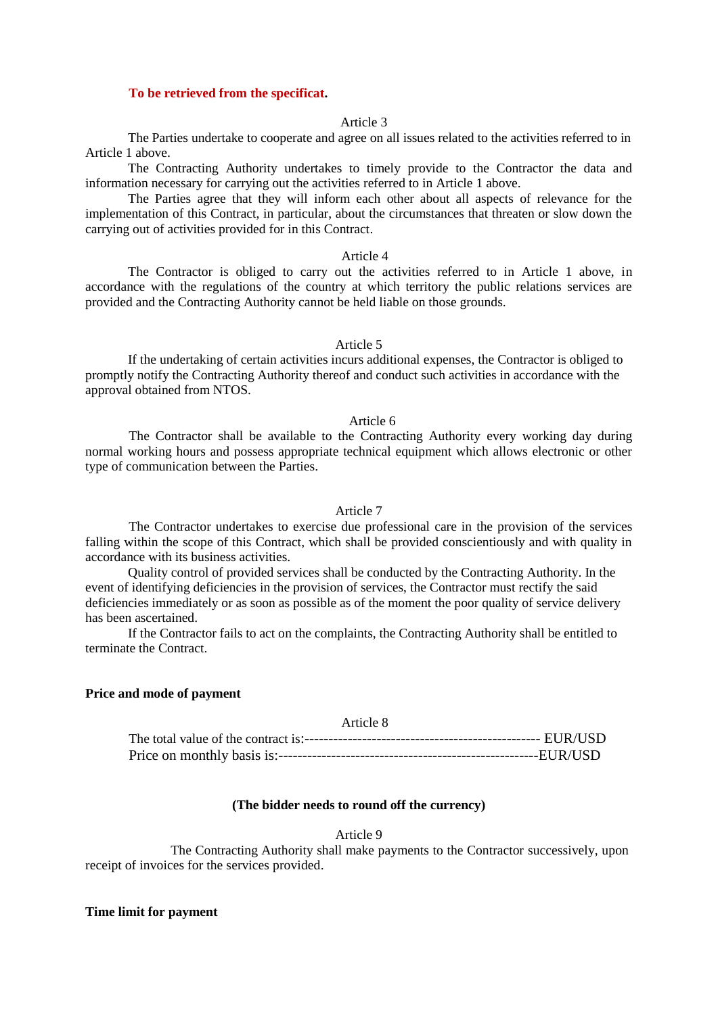#### **To be retrieved from the specificat.**

#### Article 3

The Parties undertake to cooperate and agree on all issues related to the activities referred to in Article 1 above.

The Contracting Authority undertakes to timely provide to the Contractor the data and information necessary for carrying out the activities referred to in Article 1 above.

The Parties agree that they will inform each other about all aspects of relevance for the implementation of this Contract, in particular, about the circumstances that threaten or slow down the carrying out of activities provided for in this Contract.

#### Article 4

The Contractor is obliged to carry out the activities referred to in Article 1 above, in accordance with the regulations of the country at which territory the public relations services are provided and the Contracting Authority cannot be held liable on those grounds.

#### Article 5

If the undertaking of certain activities incurs additional expenses, the Contractor is obliged to promptly notify the Contracting Authority thereof and conduct such activities in accordance with the approval obtained from NTOS.

#### Article 6

The Contractor shall be available to the Contracting Authority every working day during normal working hours and possess appropriate technical equipment which allows electronic or other type of communication between the Parties.

#### Article 7

The Contractor undertakes to exercise due professional care in the provision of the services falling within the scope of this Contract, which shall be provided conscientiously and with quality in accordance with its business activities.

Quality control of provided services shall be conducted by the Contracting Authority. In the event of identifying deficiencies in the provision of services, the Contractor must rectify the said deficiencies immediately or as soon as possible as of the moment the poor quality of service delivery has been ascertained.

If the Contractor fails to act on the complaints, the Contracting Authority shall be entitled to terminate the Contract.

### **Price and mode of payment**

#### Article 8

#### **(The bidder needs to round off the currency)**

### Article 9

The Contracting Authority shall make payments to the Contractor successively, upon receipt of invoices for the services provided.

#### **Time limit for payment**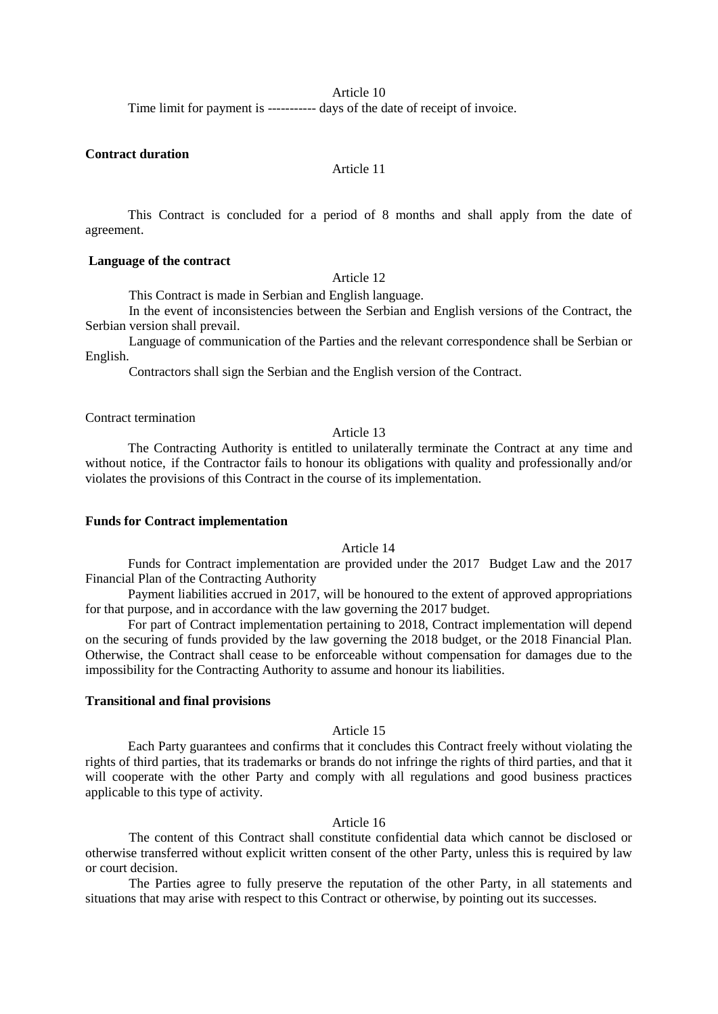Article 10

Time limit for payment is ----------- days of the date of receipt of invoice.

### **Contract duration**

### Article 11

This Contract is concluded for a period of 8 months and shall apply from the date of agreement.

### **Language of the contract**

Article 12

This Contract is made in Serbian and English language.

In the event of inconsistencies between the Serbian and English versions of the Contract, the Serbian version shall prevail.

Language of communication of the Parties and the relevant correspondence shall be Serbian or English.

Contractors shall sign the Serbian and the English version of the Contract.

Contract termination

#### Article 13

The Contracting Authority is entitled to unilaterally terminate the Contract at any time and without notice, if the Contractor fails to honour its obligations with quality and professionally and/or violates the provisions of this Contract in the course of its implementation.

#### **Funds for Contract implementation**

Article 14

Funds for Contract implementation are provided under the 2017 Budget Law and the 2017 Financial Plan of the Contracting Authority

Payment liabilities accrued in 2017, will be honoured to the extent of approved appropriations for that purpose, and in accordance with the law governing the 2017 budget.

For part of Contract implementation pertaining to 2018, Contract implementation will depend on the securing of funds provided by the law governing the 2018 budget, or the 2018 Financial Plan. Otherwise, the Contract shall cease to be enforceable without compensation for damages due to the impossibility for the Contracting Authority to assume and honour its liabilities.

#### **Transitional and final provisions**

Article 15

Each Party guarantees and confirms that it concludes this Contract freely without violating the rights of third parties, that its trademarks or brands do not infringe the rights of third parties, and that it will cooperate with the other Party and comply with all regulations and good business practices applicable to this type of activity.

### Article 16

The content of this Contract shall constitute confidential data which cannot be disclosed or otherwise transferred without explicit written consent of the other Party, unless this is required by law or court decision.

The Parties agree to fully preserve the reputation of the other Party, in all statements and situations that may arise with respect to this Contract or otherwise, by pointing out its successes.